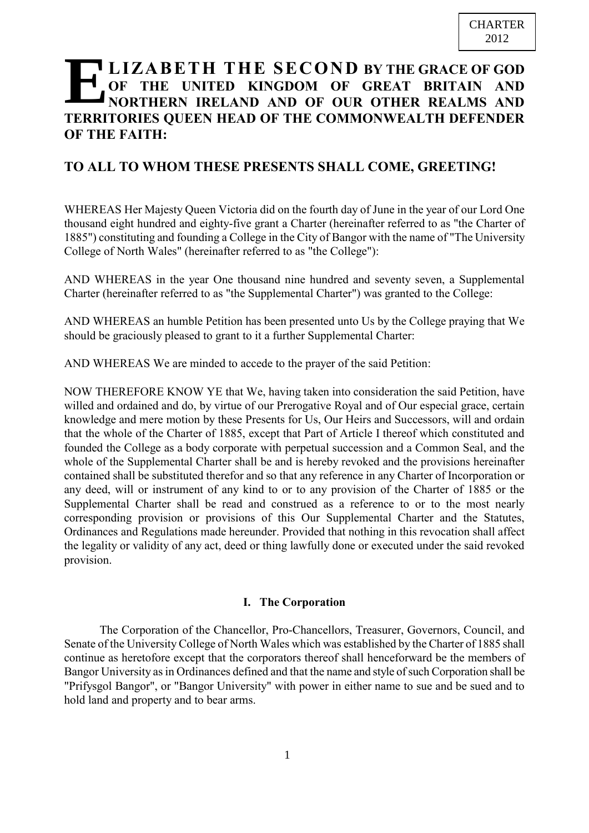# **LIZABETH THE SECOND BY THE GRACE OF GOD OF THE UNITED KINGDOM OF GREAT BRITAIN AND NORTHERN IRELAND AND OF OUR OTHER REALMS AND TERRITORIES QUEEN HEAD OF THE COMMONWEALTH DEFENDER OF THE FAITH:**

# **TO ALL TO WHOM THESE PRESENTS SHALL COME, GREETING!**

WHEREAS Her Majesty Queen Victoria did on the fourth day of June in the year of our Lord One thousand eight hundred and eighty-five grant a Charter (hereinafter referred to as "the Charter of 1885") constituting and founding a College in the City of Bangor with the name of "The University College of North Wales" (hereinafter referred to as "the College"):

AND WHEREAS in the year One thousand nine hundred and seventy seven, a Supplemental Charter (hereinafter referred to as "the Supplemental Charter") was granted to the College:

AND WHEREAS an humble Petition has been presented unto Us by the College praying that We should be graciously pleased to grant to it a further Supplemental Charter:

AND WHEREAS We are minded to accede to the prayer of the said Petition:

NOW THEREFORE KNOW YE that We, having taken into consideration the said Petition, have willed and ordained and do, by virtue of our Prerogative Royal and of Our especial grace, certain knowledge and mere motion by these Presents for Us, Our Heirs and Successors, will and ordain that the whole of the Charter of 1885, except that Part of Article I thereof which constituted and founded the College as a body corporate with perpetual succession and a Common Seal, and the whole of the Supplemental Charter shall be and is hereby revoked and the provisions hereinafter contained shall be substituted therefor and so that any reference in any Charter of Incorporation or any deed, will or instrument of any kind to or to any provision of the Charter of 1885 or the Supplemental Charter shall be read and construed as a reference to or to the most nearly corresponding provision or provisions of this Our Supplemental Charter and the Statutes, Ordinances and Regulations made hereunder. Provided that nothing in this revocation shall affect the legality or validity of any act, deed or thing lawfully done or executed under the said revoked provision.

# **I. The Corporation**

The Corporation of the Chancellor, Pro-Chancellors, Treasurer, Governors, Council, and Senate of the University College of North Wales which was established by the Charter of 1885 shall continue as heretofore except that the corporators thereof shall henceforward be the members of Bangor University as in Ordinances defined and that the name and style of such Corporation shall be "Prifysgol Bangor", or "Bangor University" with power in either name to sue and be sued and to hold land and property and to bear arms.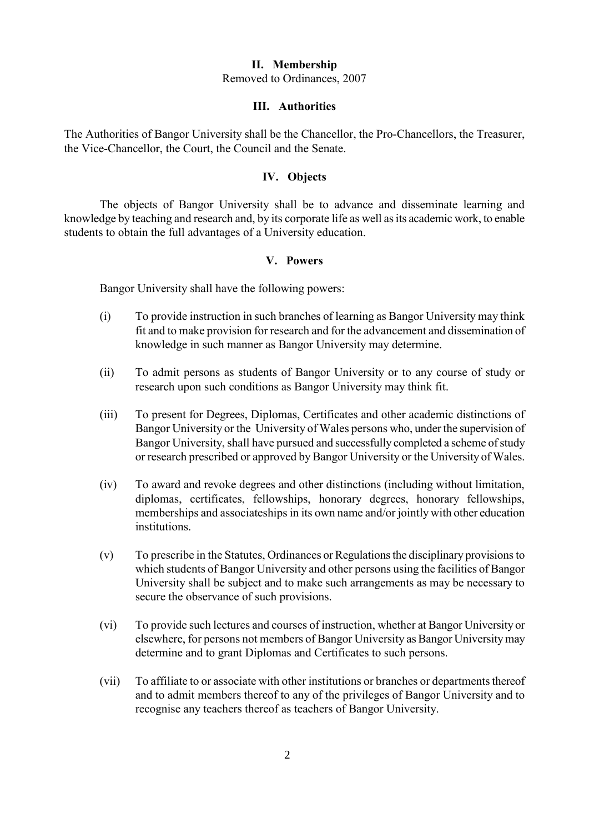#### **II. Membership**

Removed to Ordinances, 2007

#### **III. Authorities**

The Authorities of Bangor University shall be the Chancellor, the Pro-Chancellors, the Treasurer, the Vice-Chancellor, the Court, the Council and the Senate.

#### **IV. Objects**

The objects of Bangor University shall be to advance and disseminate learning and knowledge by teaching and research and, by its corporate life as well as its academic work, to enable students to obtain the full advantages of a University education.

#### **V. Powers**

Bangor University shall have the following powers:

- (i) To provide instruction in such branches of learning as Bangor University may think fit and to make provision for research and for the advancement and dissemination of knowledge in such manner as Bangor University may determine.
- (ii) To admit persons as students of Bangor University or to any course of study or research upon such conditions as Bangor University may think fit.
- (iii) To present for Degrees, Diplomas, Certificates and other academic distinctions of Bangor University or the University of Wales persons who, under the supervision of Bangor University, shall have pursued and successfully completed a scheme of study or research prescribed or approved by Bangor University or the University of Wales.
- (iv) To award and revoke degrees and other distinctions (including without limitation, diplomas, certificates, fellowships, honorary degrees, honorary fellowships, memberships and associateships in its own name and/or jointly with other education institutions.
- (v) To prescribe in the Statutes, Ordinances or Regulations the disciplinary provisionsto which students of Bangor University and other persons using the facilities of Bangor University shall be subject and to make such arrangements as may be necessary to secure the observance of such provisions.
- (vi) To provide such lectures and courses of instruction, whether at Bangor University or elsewhere, for persons not members of Bangor University as Bangor Universitymay determine and to grant Diplomas and Certificates to such persons.
- (vii) To affiliate to or associate with other institutions or branches or departments thereof and to admit members thereof to any of the privileges of Bangor University and to recognise any teachers thereof as teachers of Bangor University.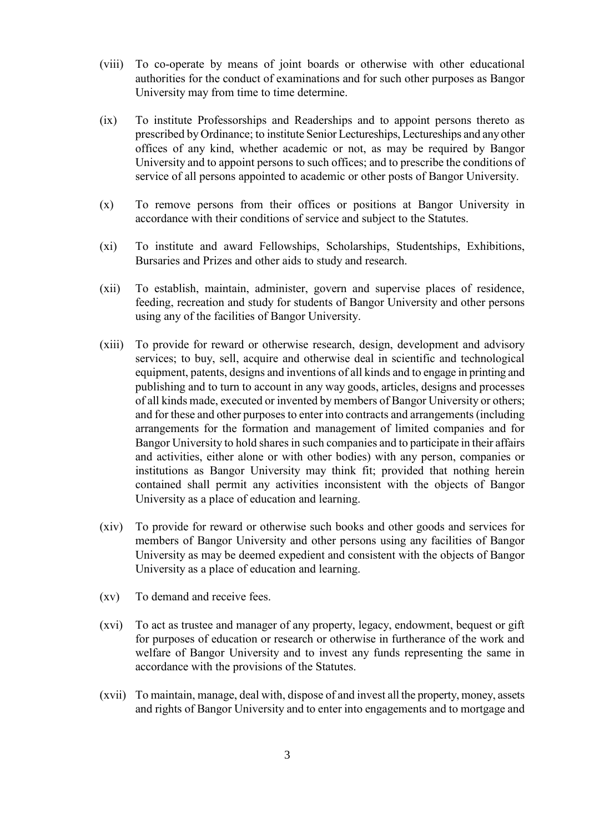- (viii) To co-operate by means of joint boards or otherwise with other educational authorities for the conduct of examinations and for such other purposes as Bangor University may from time to time determine.
- (ix) To institute Professorships and Readerships and to appoint persons thereto as prescribed by Ordinance; to institute Senior Lectureships, Lectureships and any other offices of any kind, whether academic or not, as may be required by Bangor University and to appoint persons to such offices; and to prescribe the conditions of service of all persons appointed to academic or other posts of Bangor University.
- (x) To remove persons from their offices or positions at Bangor University in accordance with their conditions of service and subject to the Statutes.
- (xi) To institute and award Fellowships, Scholarships, Studentships, Exhibitions, Bursaries and Prizes and other aids to study and research.
- (xii) To establish, maintain, administer, govern and supervise places of residence, feeding, recreation and study for students of Bangor University and other persons using any of the facilities of Bangor University.
- (xiii) To provide for reward or otherwise research, design, development and advisory services; to buy, sell, acquire and otherwise deal in scientific and technological equipment, patents, designs and inventions of all kinds and to engage in printing and publishing and to turn to account in any way goods, articles, designs and processes of all kinds made, executed or invented by members of Bangor University or others; and for these and other purposes to enter into contracts and arrangements (including arrangements for the formation and management of limited companies and for Bangor University to hold shares in such companies and to participate in their affairs and activities, either alone or with other bodies) with any person, companies or institutions as Bangor University may think fit; provided that nothing herein contained shall permit any activities inconsistent with the objects of Bangor University as a place of education and learning.
- (xiv) To provide for reward or otherwise such books and other goods and services for members of Bangor University and other persons using any facilities of Bangor University as may be deemed expedient and consistent with the objects of Bangor University as a place of education and learning.
- (xv) To demand and receive fees.
- (xvi) To act as trustee and manager of any property, legacy, endowment, bequest or gift for purposes of education or research or otherwise in furtherance of the work and welfare of Bangor University and to invest any funds representing the same in accordance with the provisions of the Statutes.
- (xvii) To maintain, manage, deal with, dispose of and invest all the property, money, assets and rights of Bangor University and to enter into engagements and to mortgage and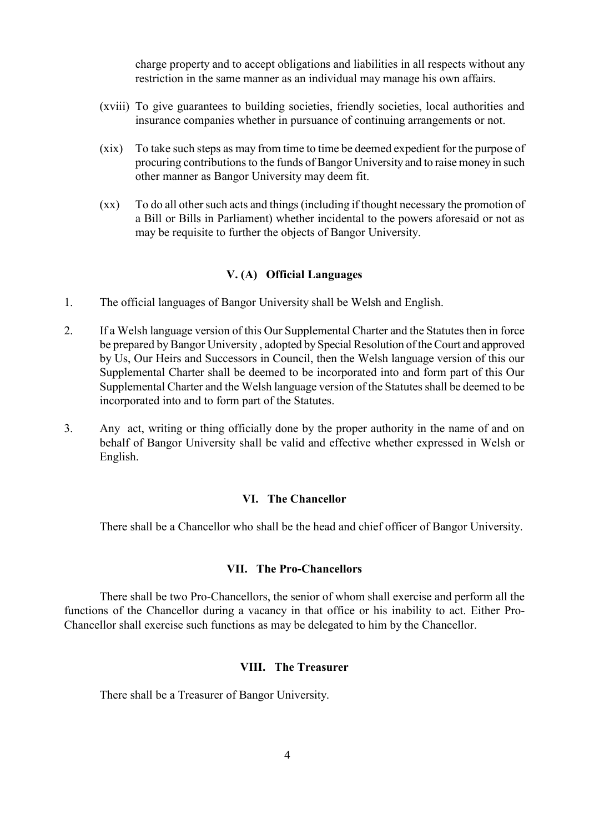charge property and to accept obligations and liabilities in all respects without any restriction in the same manner as an individual may manage his own affairs.

- (xviii) To give guarantees to building societies, friendly societies, local authorities and insurance companies whether in pursuance of continuing arrangements or not.
- (xix) To take such steps as may from time to time be deemed expedient for the purpose of procuring contributions to the funds of Bangor University and to raise money in such other manner as Bangor University may deem fit.
- (xx) To do all other such acts and things (including if thought necessary the promotion of a Bill or Bills in Parliament) whether incidental to the powers aforesaid or not as may be requisite to further the objects of Bangor University.

#### **V. (A) Official Languages**

- 1. The official languages of Bangor University shall be Welsh and English.
- 2. If a Welsh language version of this Our Supplemental Charter and the Statutes then in force be prepared by Bangor University , adopted by Special Resolution of the Court and approved by Us, Our Heirs and Successors in Council, then the Welsh language version of this our Supplemental Charter shall be deemed to be incorporated into and form part of this Our Supplemental Charter and the Welsh language version of the Statutes shall be deemed to be incorporated into and to form part of the Statutes.
- 3. Any act, writing or thing officially done by the proper authority in the name of and on behalf of Bangor University shall be valid and effective whether expressed in Welsh or English.

#### **VI. The Chancellor**

There shall be a Chancellor who shall be the head and chief officer of Bangor University.

# **VII. The Pro-Chancellors**

There shall be two Pro-Chancellors, the senior of whom shall exercise and perform all the functions of the Chancellor during a vacancy in that office or his inability to act. Either Pro-Chancellor shall exercise such functions as may be delegated to him by the Chancellor.

#### **VIII. The Treasurer**

There shall be a Treasurer of Bangor University.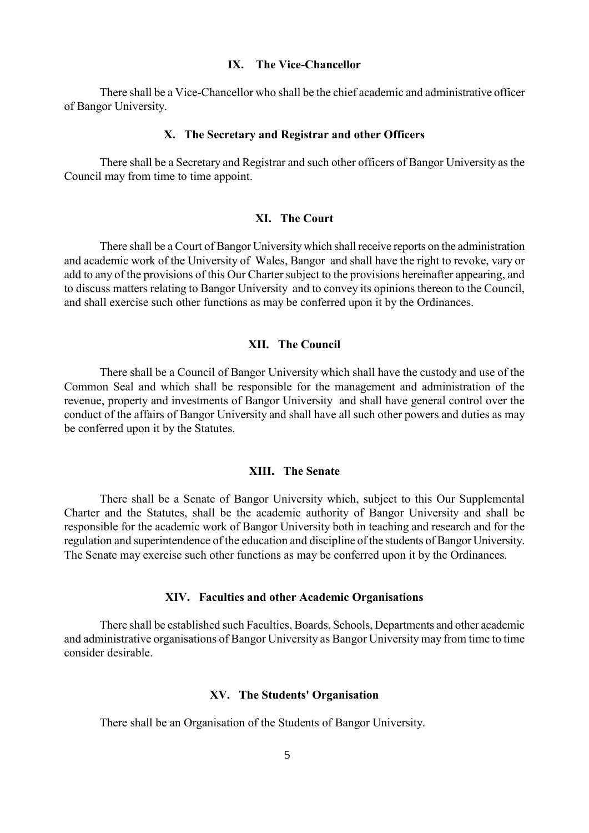#### **IX. The Vice-Chancellor**

There shall be a Vice-Chancellor who shall be the chief academic and administrative officer of Bangor University.

#### **X. The Secretary and Registrar and other Officers**

There shall be a Secretary and Registrar and such other officers of Bangor University as the Council may from time to time appoint.

#### **XI. The Court**

There shall be a Court of Bangor Universitywhich shall receive reports on the administration and academic work of the University of Wales, Bangor and shall have the right to revoke, vary or add to any of the provisions of this Our Charter subject to the provisions hereinafter appearing, and to discuss matters relating to Bangor University and to convey its opinions thereon to the Council, and shall exercise such other functions as may be conferred upon it by the Ordinances.

## **XII. The Council**

There shall be a Council of Bangor University which shall have the custody and use of the Common Seal and which shall be responsible for the management and administration of the revenue, property and investments of Bangor University and shall have general control over the conduct of the affairs of Bangor University and shall have all such other powers and duties as may be conferred upon it by the Statutes.

# **XIII. The Senate**

There shall be a Senate of Bangor University which, subject to this Our Supplemental Charter and the Statutes, shall be the academic authority of Bangor University and shall be responsible for the academic work of Bangor University both in teaching and research and for the regulation and superintendence of the education and discipline of the students of Bangor University. The Senate may exercise such other functions as may be conferred upon it by the Ordinances.

#### **XIV. Faculties and other Academic Organisations**

There shall be established such Faculties, Boards, Schools, Departments and other academic and administrative organisations of Bangor University as Bangor University may from time to time consider desirable.

#### **XV. The Students' Organisation**

There shall be an Organisation of the Students of Bangor University.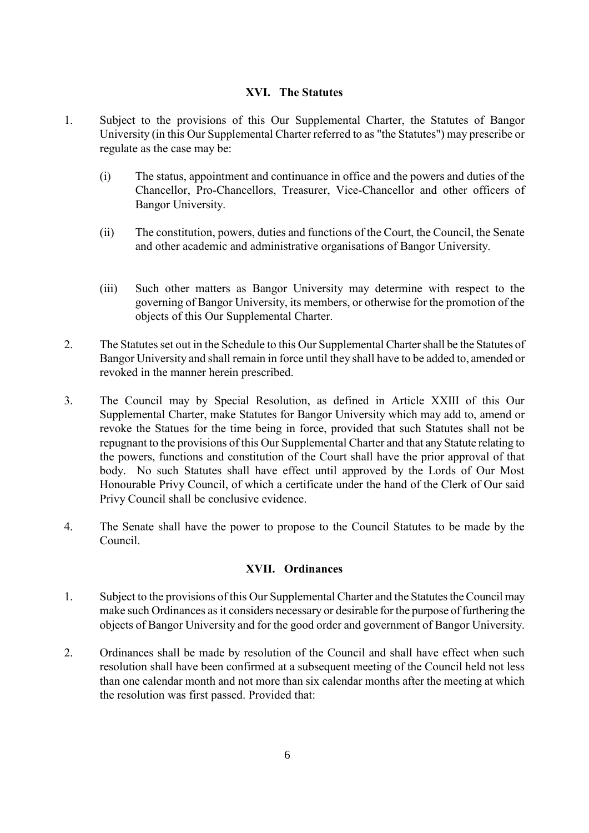# **XVI. The Statutes**

- 1. Subject to the provisions of this Our Supplemental Charter, the Statutes of Bangor University (in this Our Supplemental Charter referred to as "the Statutes") may prescribe or regulate as the case may be:
	- (i) The status, appointment and continuance in office and the powers and duties of the Chancellor, Pro-Chancellors, Treasurer, Vice-Chancellor and other officers of Bangor University.
	- (ii) The constitution, powers, duties and functions of the Court, the Council, the Senate and other academic and administrative organisations of Bangor University.
	- (iii) Such other matters as Bangor University may determine with respect to the governing of Bangor University, its members, or otherwise for the promotion of the objects of this Our Supplemental Charter.
- 2. The Statutes set out in the Schedule to this Our Supplemental Charter shall be the Statutes of Bangor University and shall remain in force until they shall have to be added to, amended or revoked in the manner herein prescribed.
- 3. The Council may by Special Resolution, as defined in Article XXIII of this Our Supplemental Charter, make Statutes for Bangor University which may add to, amend or revoke the Statues for the time being in force, provided that such Statutes shall not be repugnant to the provisions of this Our Supplemental Charter and that any Statute relating to the powers, functions and constitution of the Court shall have the prior approval of that body. No such Statutes shall have effect until approved by the Lords of Our Most Honourable Privy Council, of which a certificate under the hand of the Clerk of Our said Privy Council shall be conclusive evidence.
- 4. The Senate shall have the power to propose to the Council Statutes to be made by the Council.

## **XVII. Ordinances**

- 1. Subject to the provisions of this Our Supplemental Charter and the Statutes the Council may make such Ordinances as it considers necessary or desirable for the purpose of furthering the objects of Bangor University and for the good order and government of Bangor University.
- 2. Ordinances shall be made by resolution of the Council and shall have effect when such resolution shall have been confirmed at a subsequent meeting of the Council held not less than one calendar month and not more than six calendar months after the meeting at which the resolution was first passed. Provided that: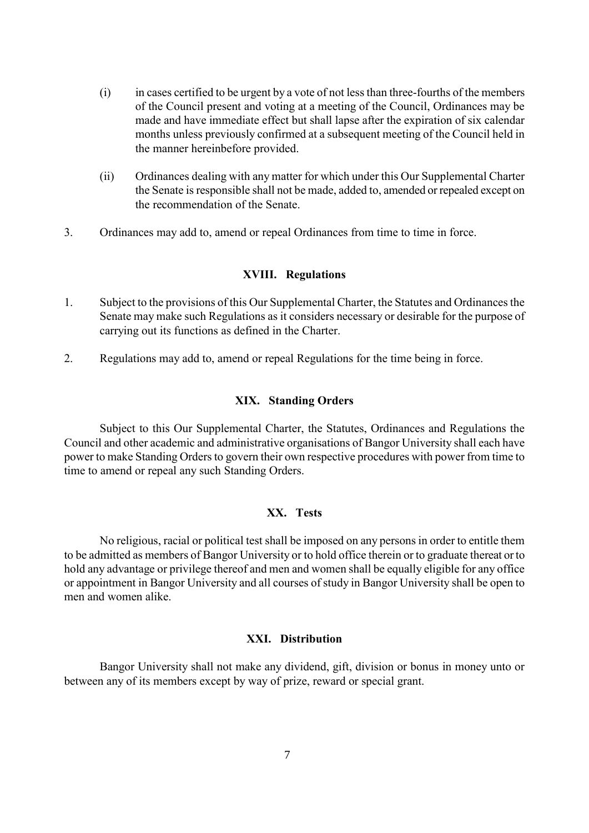- (i) in cases certified to be urgent by a vote of not less than three-fourths of the members of the Council present and voting at a meeting of the Council, Ordinances may be made and have immediate effect but shall lapse after the expiration of six calendar months unless previously confirmed at a subsequent meeting of the Council held in the manner hereinbefore provided.
- (ii) Ordinances dealing with any matter for which under this Our Supplemental Charter the Senate is responsible shall not be made, added to, amended or repealed except on the recommendation of the Senate.
- 3. Ordinances may add to, amend or repeal Ordinances from time to time in force.

#### **XVIII. Regulations**

- 1. Subject to the provisions of this Our Supplemental Charter, the Statutes and Ordinances the Senate may make such Regulations as it considers necessary or desirable for the purpose of carrying out its functions as defined in the Charter.
- 2. Regulations may add to, amend or repeal Regulations for the time being in force.

#### **XIX. Standing Orders**

Subject to this Our Supplemental Charter, the Statutes, Ordinances and Regulations the Council and other academic and administrative organisations of Bangor University shall each have power to make Standing Orders to govern their own respective procedures with power from time to time to amend or repeal any such Standing Orders.

# **XX. Tests**

No religious, racial or political test shall be imposed on any persons in order to entitle them to be admitted as members of Bangor University or to hold office therein or to graduate thereat or to hold any advantage or privilege thereof and men and women shall be equally eligible for any office or appointment in Bangor University and all courses of study in Bangor University shall be open to men and women alike.

#### **XXI. Distribution**

Bangor University shall not make any dividend, gift, division or bonus in money unto or between any of its members except by way of prize, reward or special grant.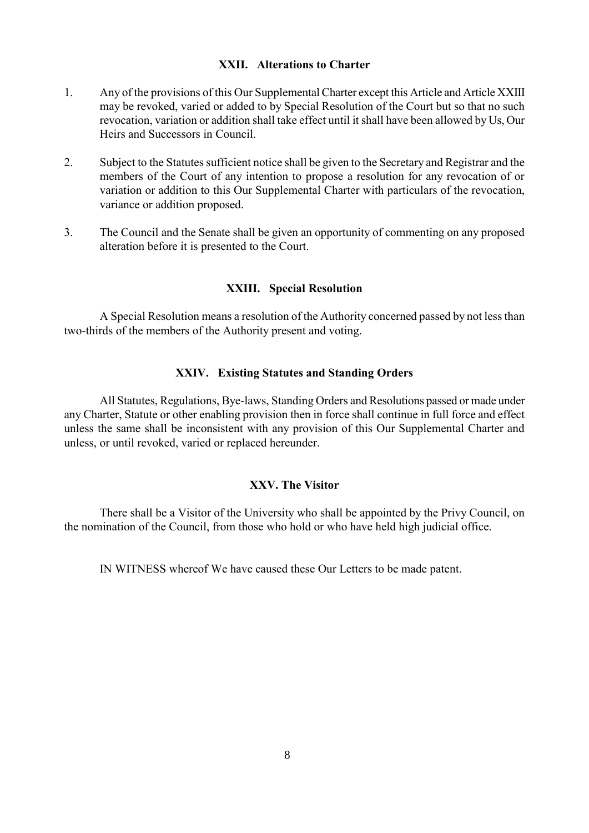## **XXII. Alterations to Charter**

- 1. Any of the provisions of this Our Supplemental Charter except this Article and Article XXIII may be revoked, varied or added to by Special Resolution of the Court but so that no such revocation, variation or addition shall take effect until it shall have been allowed by Us, Our Heirs and Successors in Council.
- 2. Subject to the Statutes sufficient notice shall be given to the Secretary and Registrar and the members of the Court of any intention to propose a resolution for any revocation of or variation or addition to this Our Supplemental Charter with particulars of the revocation, variance or addition proposed.
- 3. The Council and the Senate shall be given an opportunity of commenting on any proposed alteration before it is presented to the Court.

# **XXIII. Special Resolution**

A Special Resolution means a resolution of the Authority concerned passed by not less than two-thirds of the members of the Authority present and voting.

# **XXIV. Existing Statutes and Standing Orders**

All Statutes, Regulations, Bye-laws, Standing Orders and Resolutions passed or made under any Charter, Statute or other enabling provision then in force shall continue in full force and effect unless the same shall be inconsistent with any provision of this Our Supplemental Charter and unless, or until revoked, varied or replaced hereunder.

# **XXV. The Visitor**

There shall be a Visitor of the University who shall be appointed by the Privy Council, on the nomination of the Council, from those who hold or who have held high judicial office.

IN WITNESS whereof We have caused these Our Letters to be made patent.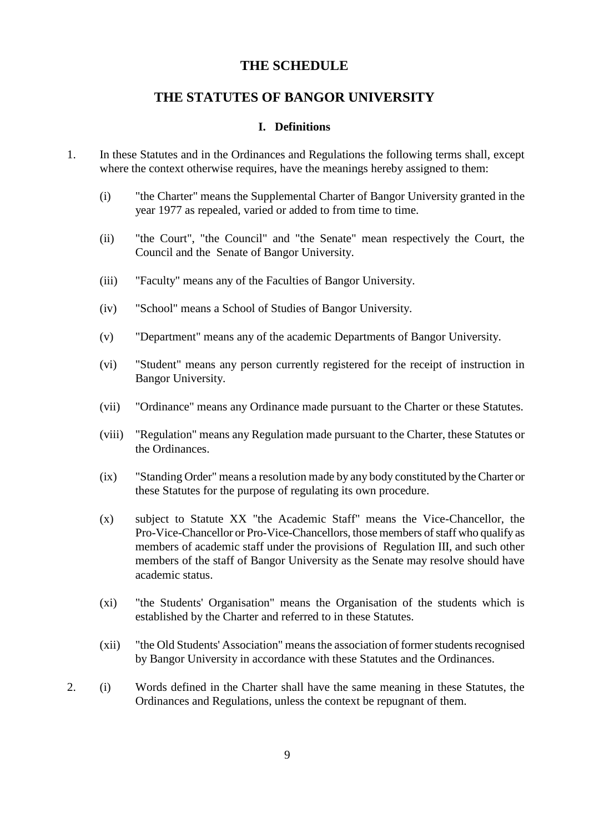# **THE SCHEDULE**

# **THE STATUTES OF BANGOR UNIVERSITY**

#### **I. Definitions**

- 1. In these Statutes and in the Ordinances and Regulations the following terms shall, except where the context otherwise requires, have the meanings hereby assigned to them:
	- (i) "the Charter" means the Supplemental Charter of Bangor University granted in the year 1977 as repealed, varied or added to from time to time.
	- (ii) "the Court", "the Council" and "the Senate" mean respectively the Court, the Council and the Senate of Bangor University.
	- (iii) "Faculty" means any of the Faculties of Bangor University.
	- (iv) "School" means a School of Studies of Bangor University.
	- (v) "Department" means any of the academic Departments of Bangor University.
	- (vi) "Student" means any person currently registered for the receipt of instruction in Bangor University.
	- (vii) "Ordinance" means any Ordinance made pursuant to the Charter or these Statutes.
	- (viii) "Regulation" means any Regulation made pursuant to the Charter, these Statutes or the Ordinances.
	- (ix) "Standing Order" means a resolution made by any body constituted by the Charter or these Statutes for the purpose of regulating its own procedure.
	- (x) subject to Statute XX "the Academic Staff" means the Vice-Chancellor, the Pro-Vice-Chancellor or Pro-Vice-Chancellors, those members of staff who qualify as members of academic staff under the provisions of Regulation III, and such other members of the staff of Bangor University as the Senate may resolve should have academic status.
	- (xi) "the Students' Organisation" means the Organisation of the students which is established by the Charter and referred to in these Statutes.
	- (xii) "the Old Students' Association" means the association of former students recognised by Bangor University in accordance with these Statutes and the Ordinances.
- 2. (i) Words defined in the Charter shall have the same meaning in these Statutes, the Ordinances and Regulations, unless the context be repugnant of them.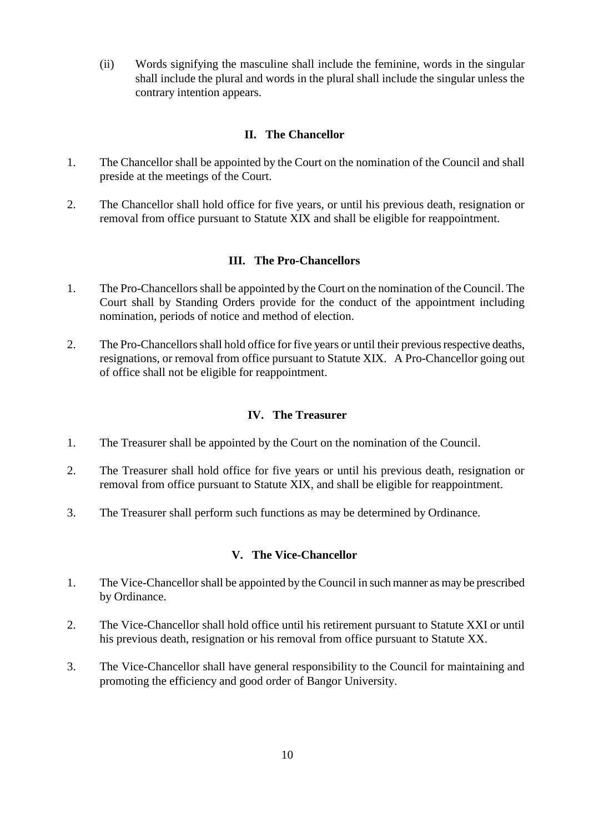(ii) Words signifying the masculine shall include the feminine, words in the singular shall include the plural and words in the plural shall include the singular unless the contrary intention appears.

# **II. The Chancellor**

- 1. The Chancellor shall be appointed by the Court on the nomination of the Council and shall preside at the meetings of the Court.
- 2. The Chancellor shall hold office for five years, or until his previous death, resignation or removal from office pursuant to Statute XIX and shall be eligible for reappointment.

## **III. The Pro-Chancellors**

- 1. The Pro-Chancellors shall be appointed by the Court on the nomination of the Council. The Court shall by Standing Orders provide for the conduct of the appointment including nomination, periods of notice and method of election.
- 2. The Pro-Chancellors shall hold office for five years or until their previous respective deaths, resignations, or removal from office pursuant to Statute XIX. A Pro-Chancellor going out of office shall not be eligible for reappointment.

#### **IV. The Treasurer**

- 1. The Treasurer shall be appointed by the Court on the nomination of the Council.
- 2. The Treasurer shall hold office for five years or until his previous death, resignation or removal from office pursuant to Statute XIX, and shall be eligible for reappointment.
- 3. The Treasurer shall perform such functions as may be determined by Ordinance.

#### **V. The Vice-Chancellor**

- 1. The Vice-Chancellor shall be appointed by the Council in such manner as may be prescribed by Ordinance.
- 2. The Vice-Chancellor shall hold office until his retirement pursuant to Statute XXI or until his previous death, resignation or his removal from office pursuant to Statute XX.
- 3. The Vice-Chancellor shall have general responsibility to the Council for maintaining and promoting the efficiency and good order of Bangor University.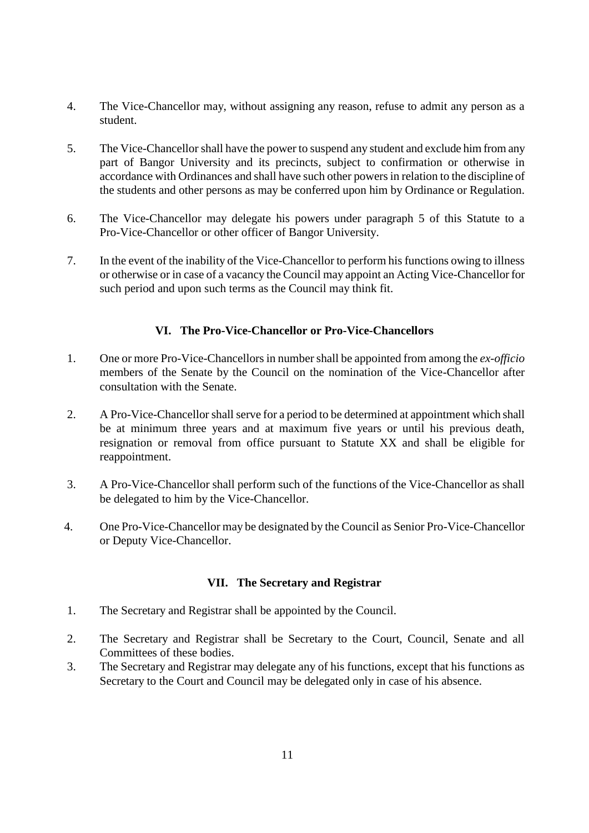- 4. The Vice-Chancellor may, without assigning any reason, refuse to admit any person as a student.
- 5. The Vice-Chancellor shall have the power to suspend any student and exclude him from any part of Bangor University and its precincts, subject to confirmation or otherwise in accordance with Ordinances and shall have such other powers in relation to the discipline of the students and other persons as may be conferred upon him by Ordinance or Regulation.
- 6. The Vice-Chancellor may delegate his powers under paragraph 5 of this Statute to a Pro-Vice-Chancellor or other officer of Bangor University.
- 7. In the event of the inability of the Vice-Chancellor to perform his functions owing to illness or otherwise or in case of a vacancy the Council may appoint an Acting Vice-Chancellor for such period and upon such terms as the Council may think fit.

# **VI. The Pro-Vice-Chancellor or Pro-Vice-Chancellors**

- 1. One or more Pro-Vice-Chancellors in number shall be appointed from among the *ex-officio*  members of the Senate by the Council on the nomination of the Vice-Chancellor after consultation with the Senate.
- 2. A Pro-Vice-Chancellor shall serve for a period to be determined at appointment which shall be at minimum three years and at maximum five years or until his previous death, resignation or removal from office pursuant to Statute XX and shall be eligible for reappointment.
- 3. A Pro-Vice-Chancellor shall perform such of the functions of the Vice-Chancellor as shall be delegated to him by the Vice-Chancellor.
- 4. One Pro-Vice-Chancellor may be designated by the Council as Senior Pro-Vice-Chancellor or Deputy Vice-Chancellor.

## **VII. The Secretary and Registrar**

- 1. The Secretary and Registrar shall be appointed by the Council.
- 2. The Secretary and Registrar shall be Secretary to the Court, Council, Senate and all Committees of these bodies.
- 3. The Secretary and Registrar may delegate any of his functions, except that his functions as Secretary to the Court and Council may be delegated only in case of his absence.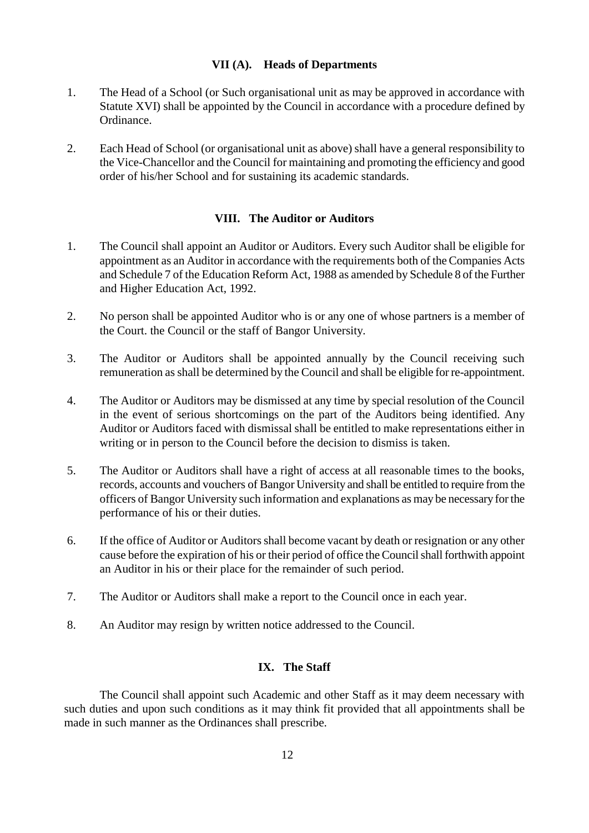## **VII (A). Heads of Departments**

- 1. The Head of a School (or Such organisational unit as may be approved in accordance with Statute XVI) shall be appointed by the Council in accordance with a procedure defined by Ordinance.
- 2. Each Head of School (or organisational unit as above) shall have a general responsibility to the Vice-Chancellor and the Council for maintaining and promoting the efficiency and good order of his/her School and for sustaining its academic standards.

# **VIII. The Auditor or Auditors**

- 1. The Council shall appoint an Auditor or Auditors. Every such Auditor shall be eligible for appointment as an Auditor in accordance with the requirements both of the Companies Acts and Schedule 7 of the Education Reform Act, 1988 as amended by Schedule 8 of the Further and Higher Education Act, 1992.
- 2. No person shall be appointed Auditor who is or any one of whose partners is a member of the Court. the Council or the staff of Bangor University.
- 3. The Auditor or Auditors shall be appointed annually by the Council receiving such remuneration as shall be determined by the Council and shall be eligible for re-appointment.
- 4. The Auditor or Auditors may be dismissed at any time by special resolution of the Council in the event of serious shortcomings on the part of the Auditors being identified. Any Auditor or Auditors faced with dismissal shall be entitled to make representations either in writing or in person to the Council before the decision to dismiss is taken.
- 5. The Auditor or Auditors shall have a right of access at all reasonable times to the books, records, accounts and vouchers of Bangor University and shall be entitled to require from the officers of Bangor University such information and explanations as may be necessary for the performance of his or their duties.
- 6. If the office of Auditor or Auditors shall become vacant by death or resignation or any other cause before the expiration of his or their period of office the Council shall forthwith appoint an Auditor in his or their place for the remainder of such period.
- 7. The Auditor or Auditors shall make a report to the Council once in each year.
- 8. An Auditor may resign by written notice addressed to the Council.

## **IX. The Staff**

The Council shall appoint such Academic and other Staff as it may deem necessary with such duties and upon such conditions as it may think fit provided that all appointments shall be made in such manner as the Ordinances shall prescribe.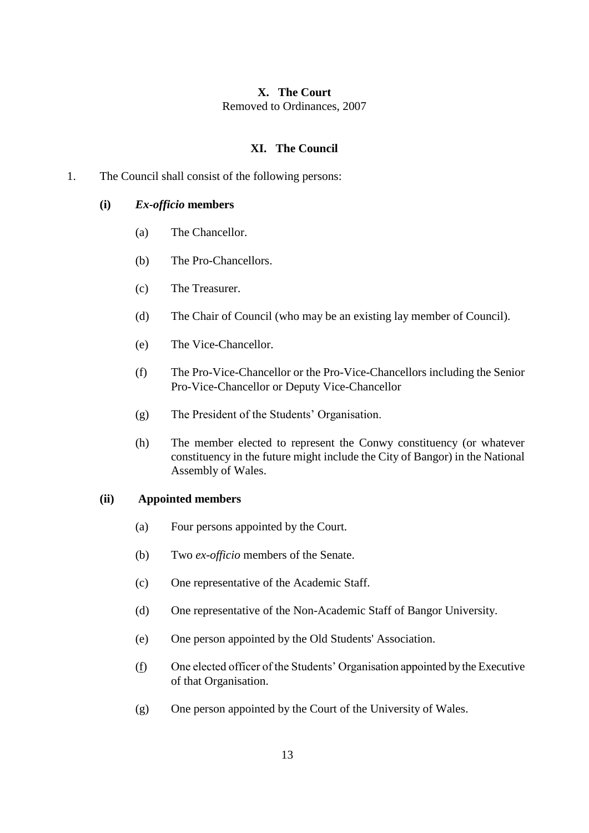# **X. The Court** Removed to Ordinances, 2007

# **XI. The Council**

1. The Council shall consist of the following persons:

#### **(i)** *Ex-officio* **members**

- (a) The Chancellor.
- (b) The Pro-Chancellors.
- (c) The Treasurer.
- (d) The Chair of Council (who may be an existing lay member of Council).
- (e) The Vice-Chancellor.
- (f) The Pro-Vice-Chancellor or the Pro-Vice-Chancellors including the Senior Pro-Vice-Chancellor or Deputy Vice-Chancellor
- (g) The President of the Students' Organisation.
- (h) The member elected to represent the Conwy constituency (or whatever constituency in the future might include the City of Bangor) in the National Assembly of Wales.

#### **(ii) Appointed members**

- (a) Four persons appointed by the Court.
- (b) Two *ex-officio* members of the Senate.
- (c) One representative of the Academic Staff.
- (d) One representative of the Non-Academic Staff of Bangor University.
- (e) One person appointed by the Old Students' Association.
- (f) One elected officer of the Students' Organisation appointed by the Executive of that Organisation.
- (g) One person appointed by the Court of the University of Wales.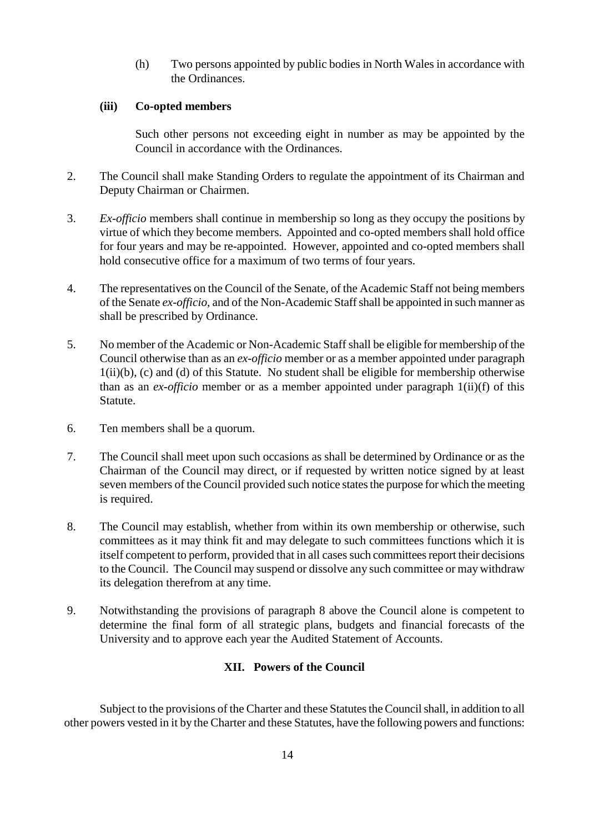(h) Two persons appointed by public bodies in North Wales in accordance with the Ordinances.

## **(iii) Co-opted members**

Such other persons not exceeding eight in number as may be appointed by the Council in accordance with the Ordinances.

- 2. The Council shall make Standing Orders to regulate the appointment of its Chairman and Deputy Chairman or Chairmen.
- 3. *Ex-officio* members shall continue in membership so long as they occupy the positions by virtue of which they become members. Appointed and co-opted members shall hold office for four years and may be re-appointed. However, appointed and co-opted members shall hold consecutive office for a maximum of two terms of four years.
- 4. The representatives on the Council of the Senate, of the Academic Staff not being members of the Senate *ex-officio,* and of the Non-Academic Staff shall be appointed in such manner as shall be prescribed by Ordinance.
- 5. No member of the Academic or Non-Academic Staff shall be eligible for membership of the Council otherwise than as an *ex-officio* member or as a member appointed under paragraph 1(ii)(b), (c) and (d) of this Statute. No student shall be eligible for membership otherwise than as an *ex-officio* member or as a member appointed under paragraph 1(ii)(f) of this Statute.
- 6. Ten members shall be a quorum.
- 7. The Council shall meet upon such occasions as shall be determined by Ordinance or as the Chairman of the Council may direct, or if requested by written notice signed by at least seven members of the Council provided such notice states the purpose for which the meeting is required.
- 8. The Council may establish, whether from within its own membership or otherwise, such committees as it may think fit and may delegate to such committees functions which it is itself competent to perform, provided that in all cases such committees report their decisions to the Council. The Council may suspend or dissolve any such committee or may withdraw its delegation therefrom at any time.
- 9. Notwithstanding the provisions of paragraph 8 above the Council alone is competent to determine the final form of all strategic plans, budgets and financial forecasts of the University and to approve each year the Audited Statement of Accounts.

## **XII. Powers of the Council**

Subject to the provisions of the Charter and these Statutes the Council shall, in addition to all other powers vested in it by the Charter and these Statutes, have the following powers and functions: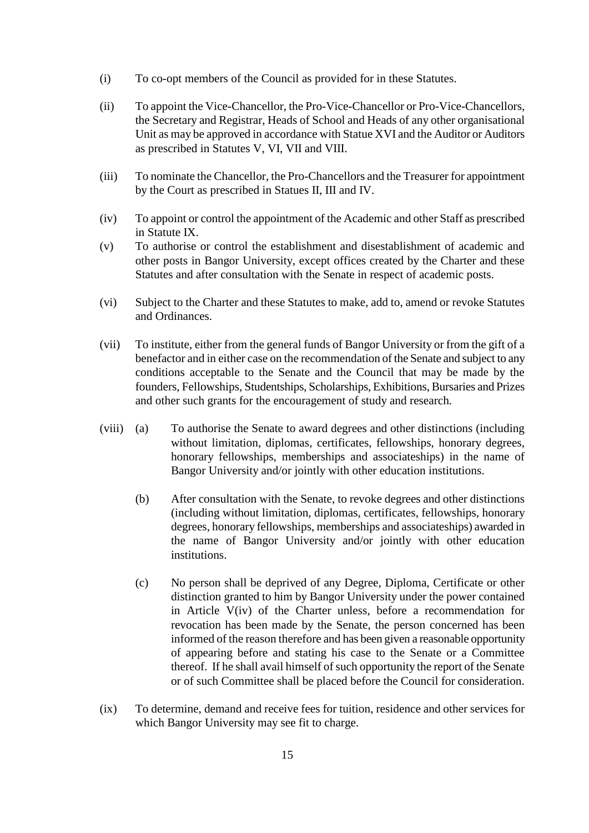- (i) To co-opt members of the Council as provided for in these Statutes.
- (ii) To appoint the Vice-Chancellor, the Pro-Vice-Chancellor or Pro-Vice-Chancellors, the Secretary and Registrar, Heads of School and Heads of any other organisational Unit as may be approved in accordance with Statue XVI and the Auditor or Auditors as prescribed in Statutes V, VI, VII and VIII.
- (iii) To nominate the Chancellor, the Pro-Chancellors and the Treasurer for appointment by the Court as prescribed in Statues II, III and IV.
- (iv) To appoint or control the appointment of the Academic and other Staff as prescribed in Statute IX.
- (v) To authorise or control the establishment and disestablishment of academic and other posts in Bangor University, except offices created by the Charter and these Statutes and after consultation with the Senate in respect of academic posts.
- (vi) Subject to the Charter and these Statutes to make, add to, amend or revoke Statutes and Ordinances.
- (vii) To institute, either from the general funds of Bangor University or from the gift of a benefactor and in either case on the recommendation of the Senate and subject to any conditions acceptable to the Senate and the Council that may be made by the founders, Fellowships, Studentships, Scholarships, Exhibitions, Bursaries and Prizes and other such grants for the encouragement of study and research.
- (viii) (a) To authorise the Senate to award degrees and other distinctions (including without limitation, diplomas, certificates, fellowships, honorary degrees, honorary fellowships, memberships and associateships) in the name of Bangor University and/or jointly with other education institutions.
	- (b) After consultation with the Senate, to revoke degrees and other distinctions (including without limitation, diplomas, certificates, fellowships, honorary degrees, honorary fellowships, memberships and associateships) awarded in the name of Bangor University and/or jointly with other education institutions.
	- (c) No person shall be deprived of any Degree, Diploma, Certificate or other distinction granted to him by Bangor University under the power contained in Article V(iv) of the Charter unless, before a recommendation for revocation has been made by the Senate, the person concerned has been informed of the reason therefore and has been given a reasonable opportunity of appearing before and stating his case to the Senate or a Committee thereof. If he shall avail himself of such opportunity the report of the Senate or of such Committee shall be placed before the Council for consideration.
- (ix) To determine, demand and receive fees for tuition, residence and other services for which Bangor University may see fit to charge.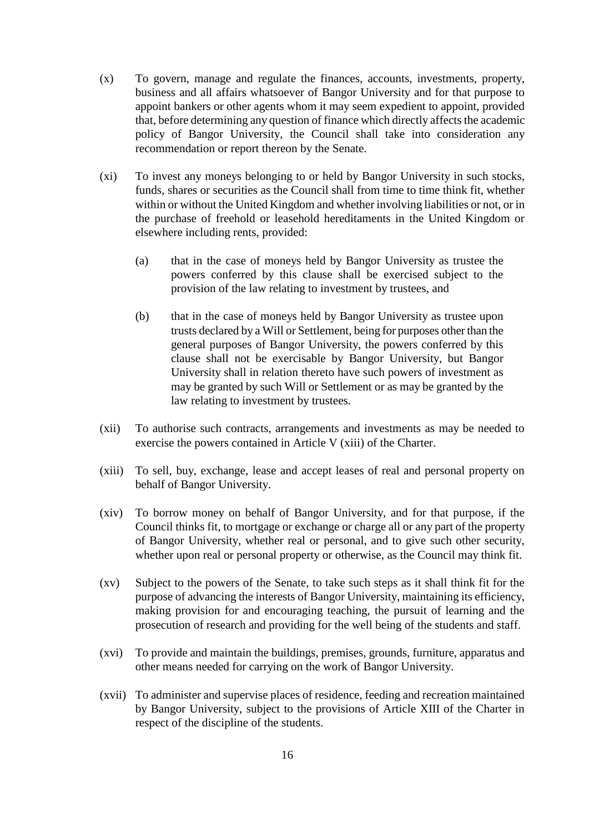- (x) To govern, manage and regulate the finances, accounts, investments, property, business and all affairs whatsoever of Bangor University and for that purpose to appoint bankers or other agents whom it may seem expedient to appoint, provided that, before determining any question of finance which directly affects the academic policy of Bangor University, the Council shall take into consideration any recommendation or report thereon by the Senate.
- (xi) To invest any moneys belonging to or held by Bangor University in such stocks, funds, shares or securities as the Council shall from time to time think fit, whether within or without the United Kingdom and whether involving liabilities or not, or in the purchase of freehold or leasehold hereditaments in the United Kingdom or elsewhere including rents, provided:
	- (a) that in the case of moneys held by Bangor University as trustee the powers conferred by this clause shall be exercised subject to the provision of the law relating to investment by trustees, and
	- (b) that in the case of moneys held by Bangor University as trustee upon trusts declared by a Will or Settlement, being for purposes other than the general purposes of Bangor University, the powers conferred by this clause shall not be exercisable by Bangor University, but Bangor University shall in relation thereto have such powers of investment as may be granted by such Will or Settlement or as may be granted by the law relating to investment by trustees.
- (xii) To authorise such contracts, arrangements and investments as may be needed to exercise the powers contained in Article V (xiii) of the Charter.
- (xiii) To sell, buy, exchange, lease and accept leases of real and personal property on behalf of Bangor University.
- (xiv) To borrow money on behalf of Bangor University, and for that purpose, if the Council thinks fit, to mortgage or exchange or charge all or any part of the property of Bangor University, whether real or personal, and to give such other security, whether upon real or personal property or otherwise, as the Council may think fit.
- (xv) Subject to the powers of the Senate, to take such steps as it shall think fit for the purpose of advancing the interests of Bangor University, maintaining its efficiency, making provision for and encouraging teaching, the pursuit of learning and the prosecution of research and providing for the well being of the students and staff.
- (xvi) To provide and maintain the buildings, premises, grounds, furniture, apparatus and other means needed for carrying on the work of Bangor University.
- (xvii) To administer and supervise places of residence, feeding and recreation maintained by Bangor University, subject to the provisions of Article XIII of the Charter in respect of the discipline of the students.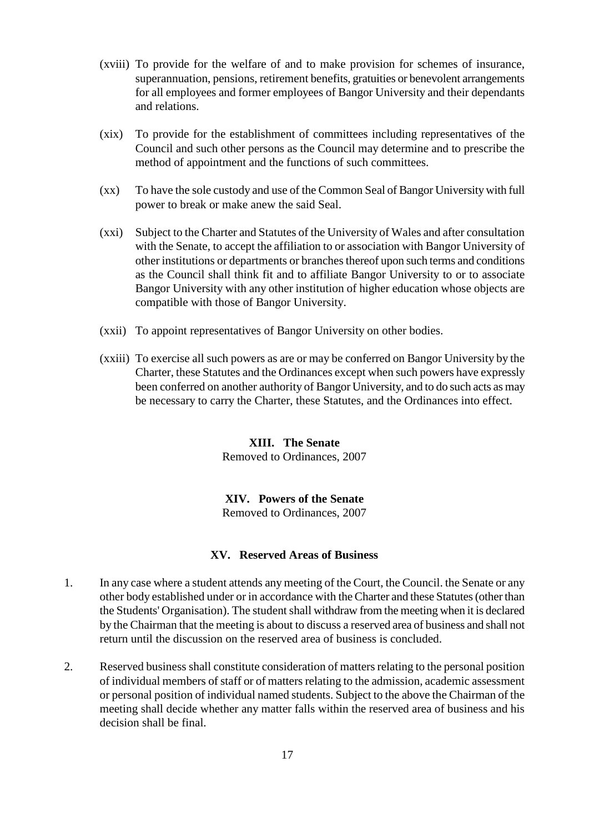- (xviii) To provide for the welfare of and to make provision for schemes of insurance, superannuation, pensions, retirement benefits, gratuities or benevolent arrangements for all employees and former employees of Bangor University and their dependants and relations.
- (xix) To provide for the establishment of committees including representatives of the Council and such other persons as the Council may determine and to prescribe the method of appointment and the functions of such committees.
- (xx) To have the sole custody and use of the Common Seal of Bangor Universitywith full power to break or make anew the said Seal.
- (xxi) Subject to the Charter and Statutes of the University of Wales and after consultation with the Senate, to accept the affiliation to or association with Bangor University of other institutions or departments or branches thereof upon such terms and conditions as the Council shall think fit and to affiliate Bangor University to or to associate Bangor University with any other institution of higher education whose objects are compatible with those of Bangor University.
- (xxii) To appoint representatives of Bangor University on other bodies.
- (xxiii) To exercise all such powers as are or may be conferred on Bangor University by the Charter, these Statutes and the Ordinances except when such powers have expressly been conferred on another authority of Bangor University, and to do such acts as may be necessary to carry the Charter, these Statutes, and the Ordinances into effect.

#### **XIII. The Senate** Removed to Ordinances, 2007

# **XIV. Powers of the Senate**

Removed to Ordinances, 2007

## **XV. Reserved Areas of Business**

- 1. In any case where a student attends any meeting of the Court, the Council. the Senate or any other body established under or in accordance with the Charter and these Statutes (other than the Students' Organisation). The student shall withdraw from the meeting when it is declared by the Chairman that the meeting is about to discuss a reserved area of business and shall not return until the discussion on the reserved area of business is concluded.
- 2. Reserved business shall constitute consideration of matters relating to the personal position of individual members of staff or of matters relating to the admission, academic assessment or personal position of individual named students. Subject to the above the Chairman of the meeting shall decide whether any matter falls within the reserved area of business and his decision shall be final.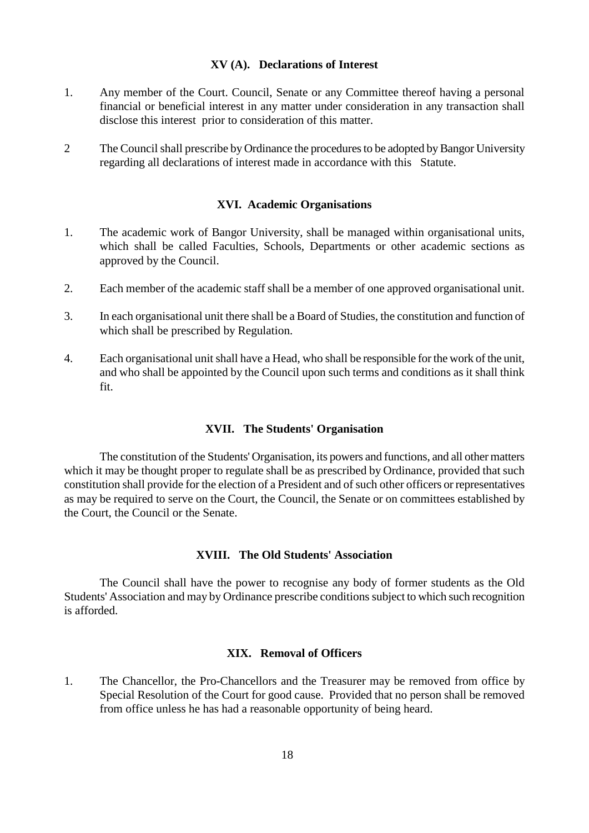#### **XV (A). Declarations of Interest**

- 1. Any member of the Court. Council, Senate or any Committee thereof having a personal financial or beneficial interest in any matter under consideration in any transaction shall disclose this interest prior to consideration of this matter.
- 2 The Council shall prescribe by Ordinance the procedures to be adopted by Bangor University regarding all declarations of interest made in accordance with this Statute.

#### **XVI. Academic Organisations**

- 1. The academic work of Bangor University, shall be managed within organisational units, which shall be called Faculties, Schools, Departments or other academic sections as approved by the Council.
- 2. Each member of the academic staff shall be a member of one approved organisational unit.
- 3. In each organisational unit there shall be a Board of Studies, the constitution and function of which shall be prescribed by Regulation.
- 4. Each organisational unit shall have a Head, who shall be responsible for the work of the unit, and who shall be appointed by the Council upon such terms and conditions as it shall think fit.

#### **XVII. The Students' Organisation**

The constitution of the Students' Organisation, its powers and functions, and all other matters which it may be thought proper to regulate shall be as prescribed by Ordinance, provided that such constitution shall provide for the election of a President and of such other officers or representatives as may be required to serve on the Court, the Council, the Senate or on committees established by the Court, the Council or the Senate.

# **XVIII. The Old Students' Association**

The Council shall have the power to recognise any body of former students as the Old Students' Association and may by Ordinance prescribe conditions subject to which such recognition is afforded.

#### **XIX. Removal of Officers**

1. The Chancellor, the Pro-Chancellors and the Treasurer may be removed from office by Special Resolution of the Court for good cause. Provided that no person shall be removed from office unless he has had a reasonable opportunity of being heard.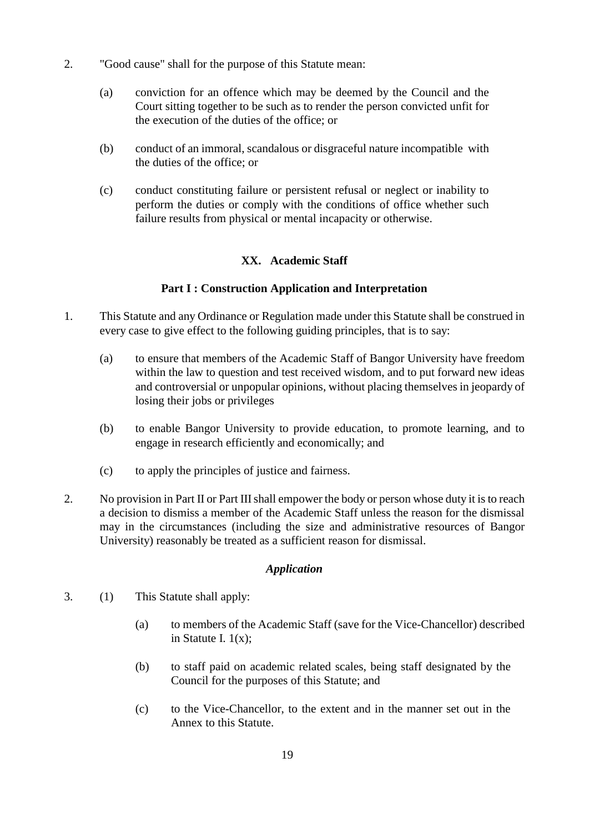- 2. "Good cause" shall for the purpose of this Statute mean:
	- (a) conviction for an offence which may be deemed by the Council and the Court sitting together to be such as to render the person convicted unfit for the execution of the duties of the office; or
	- (b) conduct of an immoral, scandalous or disgraceful nature incompatible with the duties of the office; or
	- (c) conduct constituting failure or persistent refusal or neglect or inability to perform the duties or comply with the conditions of office whether such failure results from physical or mental incapacity or otherwise.

# **XX. Academic Staff**

# **Part I : Construction Application and Interpretation**

- 1. This Statute and any Ordinance or Regulation made under this Statute shall be construed in every case to give effect to the following guiding principles, that is to say:
	- (a) to ensure that members of the Academic Staff of Bangor University have freedom within the law to question and test received wisdom, and to put forward new ideas and controversial or unpopular opinions, without placing themselves in jeopardy of losing their jobs or privileges
	- (b) to enable Bangor University to provide education, to promote learning, and to engage in research efficiently and economically; and
	- (c) to apply the principles of justice and fairness.
- 2. No provision in Part II or Part III shall empower the body or person whose duty it is to reach a decision to dismiss a member of the Academic Staff unless the reason for the dismissal may in the circumstances (including the size and administrative resources of Bangor University) reasonably be treated as a sufficient reason for dismissal.

# *Application*

- 3. (1) This Statute shall apply:
	- (a) to members of the Academic Staff (save for the Vice-Chancellor) described in Statute I. 1(x);
	- (b) to staff paid on academic related scales, being staff designated by the Council for the purposes of this Statute; and
	- (c) to the Vice-Chancellor, to the extent and in the manner set out in the Annex to this Statute.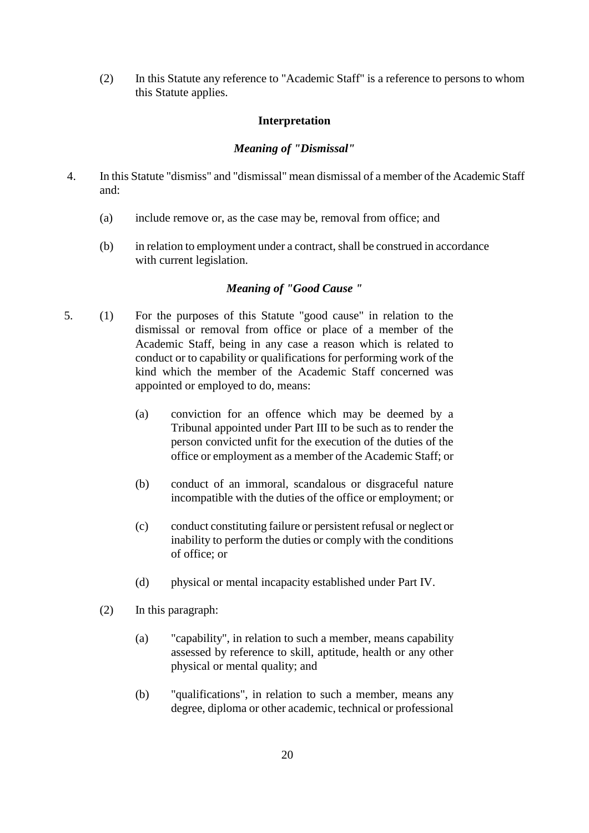(2) In this Statute any reference to "Academic Staff" is a reference to persons to whom this Statute applies.

## **Interpretation**

#### *Meaning of "Dismissal"*

- 4. In this Statute "dismiss" and "dismissal" mean dismissal of a member of the Academic Staff and:
	- (a) include remove or, as the case may be, removal from office; and
	- (b) in relation to employment under a contract, shall be construed in accordance with current legislation.

## *Meaning of "Good Cause "*

- 5. (1) For the purposes of this Statute "good cause" in relation to the dismissal or removal from office or place of a member of the Academic Staff, being in any case a reason which is related to conduct or to capability or qualifications for performing work of the kind which the member of the Academic Staff concerned was appointed or employed to do, means:
	- (a) conviction for an offence which may be deemed by a Tribunal appointed under Part III to be such as to render the person convicted unfit for the execution of the duties of the office or employment as a member of the Academic Staff; or
	- (b) conduct of an immoral, scandalous or disgraceful nature incompatible with the duties of the office or employment; or
	- (c) conduct constituting failure or persistent refusal or neglect or inability to perform the duties or comply with the conditions of office; or
	- (d) physical or mental incapacity established under Part IV.
	- (2) In this paragraph:
		- (a) "capability", in relation to such a member, means capability assessed by reference to skill, aptitude, health or any other physical or mental quality; and
		- (b) "qualifications", in relation to such a member, means any degree, diploma or other academic, technical or professional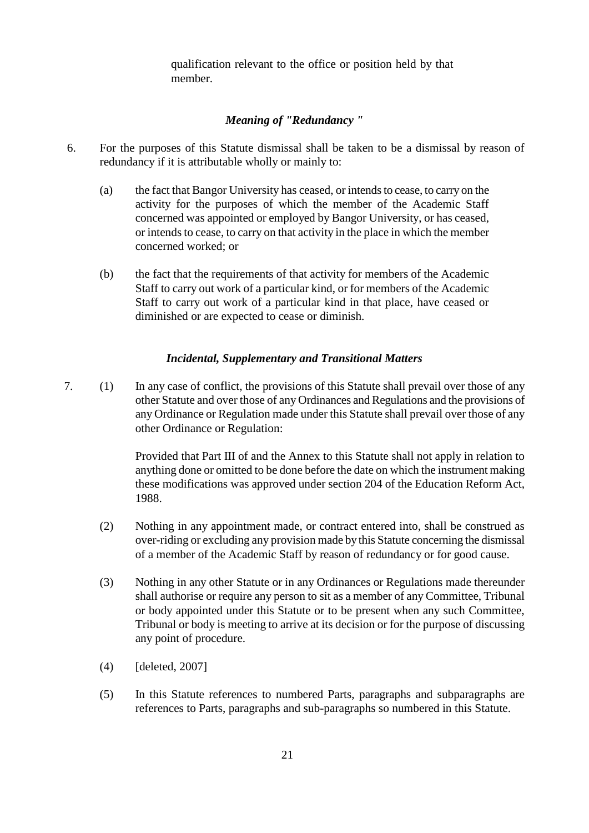qualification relevant to the office or position held by that member.

# *Meaning of "Redundancy "*

- 6. For the purposes of this Statute dismissal shall be taken to be a dismissal by reason of redundancy if it is attributable wholly or mainly to:
	- (a) the fact that Bangor University has ceased, or intends to cease, to carry on the activity for the purposes of which the member of the Academic Staff concerned was appointed or employed by Bangor University, or has ceased, or intends to cease, to carry on that activity in the place in which the member concerned worked; or
	- (b) the fact that the requirements of that activity for members of the Academic Staff to carry out work of a particular kind, or for members of the Academic Staff to carry out work of a particular kind in that place, have ceased or diminished or are expected to cease or diminish.

#### *Incidental, Supplementary and Transitional Matters*

7. (1) In any case of conflict, the provisions of this Statute shall prevail over those of any other Statute and over those of any Ordinances and Regulations and the provisions of any Ordinance or Regulation made under this Statute shall prevail over those of any other Ordinance or Regulation:

> Provided that Part III of and the Annex to this Statute shall not apply in relation to anything done or omitted to be done before the date on which the instrument making these modifications was approved under section 204 of the Education Reform Act, 1988.

- (2) Nothing in any appointment made, or contract entered into, shall be construed as over-riding or excluding any provision made by this Statute concerning the dismissal of a member of the Academic Staff by reason of redundancy or for good cause.
- (3) Nothing in any other Statute or in any Ordinances or Regulations made thereunder shall authorise or require any person to sit as a member of any Committee, Tribunal or body appointed under this Statute or to be present when any such Committee, Tribunal or body is meeting to arrive at its decision or for the purpose of discussing any point of procedure.
- (4) [deleted, 2007]
- (5) In this Statute references to numbered Parts, paragraphs and subparagraphs are references to Parts, paragraphs and sub-paragraphs so numbered in this Statute.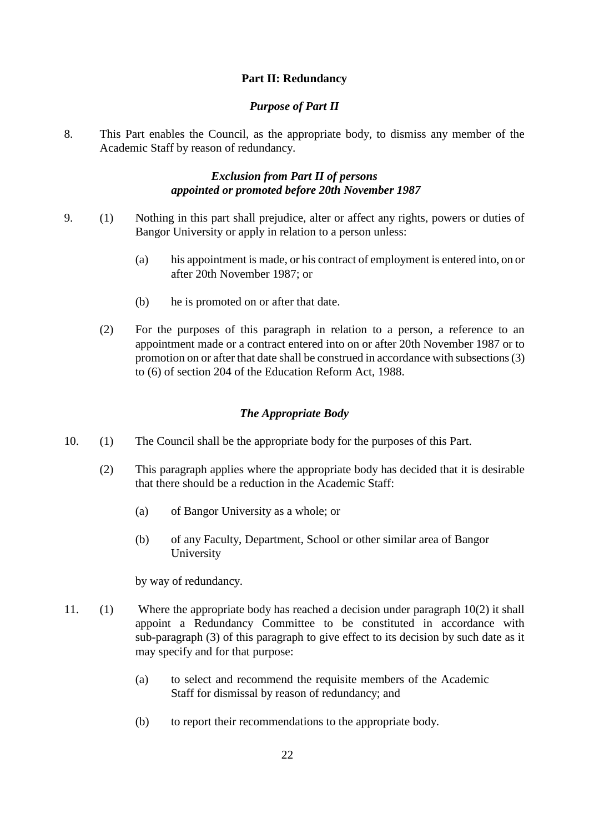# **Part II: Redundancy**

## *Purpose of Part II*

8. This Part enables the Council, as the appropriate body, to dismiss any member of the Academic Staff by reason of redundancy.

# *Exclusion from Part II of persons appointed or promoted before 20th November 1987*

- 9. (1) Nothing in this part shall prejudice, alter or affect any rights, powers or duties of Bangor University or apply in relation to a person unless:
	- (a) his appointment is made, or his contract of employment is entered into, on or after 20th November 1987; or
	- (b) he is promoted on or after that date.
	- (2) For the purposes of this paragraph in relation to a person, a reference to an appointment made or a contract entered into on or after 20th November 1987 or to promotion on or after that date shall be construed in accordance with subsections (3) to (6) of section 204 of the Education Reform Act, 1988.

# *The Appropriate Body*

- 10. (1) The Council shall be the appropriate body for the purposes of this Part.
	- (2) This paragraph applies where the appropriate body has decided that it is desirable that there should be a reduction in the Academic Staff:
		- (a) of Bangor University as a whole; or
		- (b) of any Faculty, Department, School or other similar area of Bangor University

by way of redundancy.

- 11. (1) Where the appropriate body has reached a decision under paragraph 10(2) it shall appoint a Redundancy Committee to be constituted in accordance with sub-paragraph (3) of this paragraph to give effect to its decision by such date as it may specify and for that purpose:
	- (a) to select and recommend the requisite members of the Academic Staff for dismissal by reason of redundancy; and
	- (b) to report their recommendations to the appropriate body.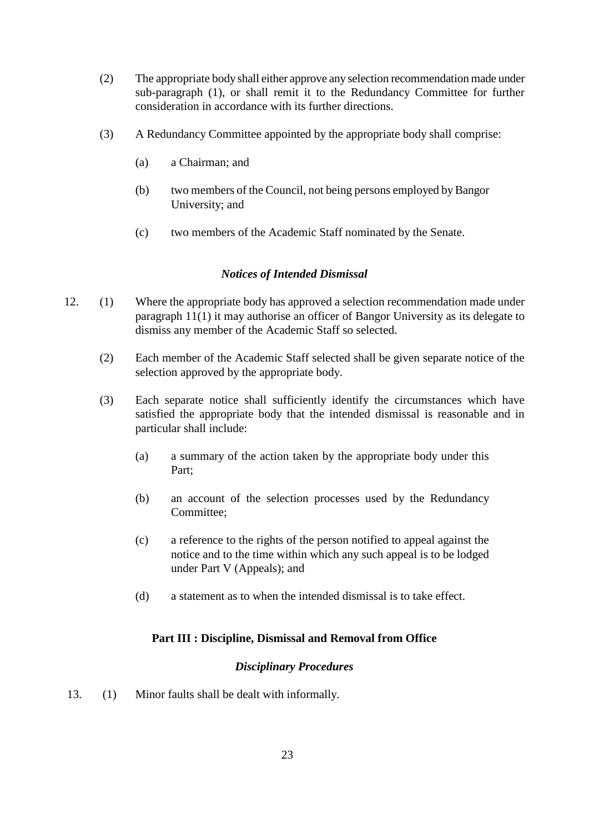- (2) The appropriate body shall either approve any selection recommendation made under sub-paragraph (1), or shall remit it to the Redundancy Committee for further consideration in accordance with its further directions.
- (3) A Redundancy Committee appointed by the appropriate body shall comprise:
	- (a) a Chairman; and
	- (b) two members of the Council, not being persons employed by Bangor University; and
	- (c) two members of the Academic Staff nominated by the Senate.

# *Notices of Intended Dismissal*

- 12. (1) Where the appropriate body has approved a selection recommendation made under paragraph 11(1) it may authorise an officer of Bangor University as its delegate to dismiss any member of the Academic Staff so selected.
	- (2) Each member of the Academic Staff selected shall be given separate notice of the selection approved by the appropriate body.
	- (3) Each separate notice shall sufficiently identify the circumstances which have satisfied the appropriate body that the intended dismissal is reasonable and in particular shall include:
		- (a) a summary of the action taken by the appropriate body under this Part;
		- (b) an account of the selection processes used by the Redundancy Committee;
		- (c) a reference to the rights of the person notified to appeal against the notice and to the time within which any such appeal is to be lodged under Part V (Appeals); and
		- (d) a statement as to when the intended dismissal is to take effect.

# **Part III : Discipline, Dismissal and Removal from Office**

## *Disciplinary Procedures*

13. (1) Minor faults shall be dealt with informally.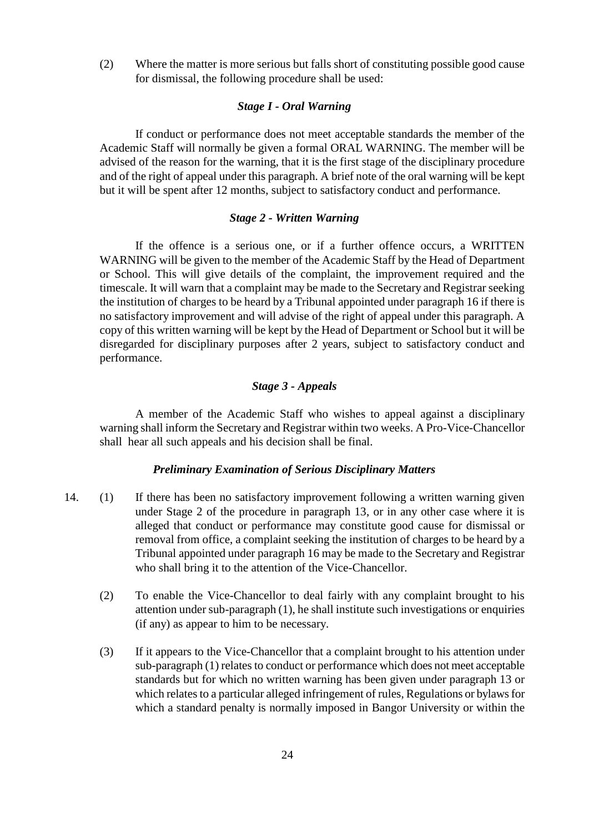(2) Where the matter is more serious but falls short of constituting possible good cause for dismissal, the following procedure shall be used:

#### *Stage I - Oral Warning*

If conduct or performance does not meet acceptable standards the member of the Academic Staff will normally be given a formal ORAL WARNING. The member will be advised of the reason for the warning, that it is the first stage of the disciplinary procedure and of the right of appeal under this paragraph. A brief note of the oral warning will be kept but it will be spent after 12 months, subject to satisfactory conduct and performance.

#### *Stage 2 - Written Warning*

If the offence is a serious one, or if a further offence occurs, a WRITTEN WARNING will be given to the member of the Academic Staff by the Head of Department or School. This will give details of the complaint, the improvement required and the timescale. It will warn that a complaint may be made to the Secretary and Registrar seeking the institution of charges to be heard by a Tribunal appointed under paragraph 16 if there is no satisfactory improvement and will advise of the right of appeal under this paragraph. A copy of this written warning will be kept by the Head of Department or School but it will be disregarded for disciplinary purposes after 2 years, subject to satisfactory conduct and performance.

# *Stage 3 - Appeals*

A member of the Academic Staff who wishes to appeal against a disciplinary warning shall inform the Secretary and Registrar within two weeks. A Pro-Vice-Chancellor shall hear all such appeals and his decision shall be final.

#### *Preliminary Examination of Serious Disciplinary Matters*

- 14. (1) If there has been no satisfactory improvement following a written warning given under Stage 2 of the procedure in paragraph 13, or in any other case where it is alleged that conduct or performance may constitute good cause for dismissal or removal from office, a complaint seeking the institution of charges to be heard by a Tribunal appointed under paragraph 16 may be made to the Secretary and Registrar who shall bring it to the attention of the Vice-Chancellor.
	- (2) To enable the Vice-Chancellor to deal fairly with any complaint brought to his attention under sub-paragraph (1), he shall institute such investigations or enquiries (if any) as appear to him to be necessary.
	- (3) If it appears to the Vice-Chancellor that a complaint brought to his attention under sub-paragraph (1) relates to conduct or performance which does not meet acceptable standards but for which no written warning has been given under paragraph 13 or which relates to a particular alleged infringement of rules, Regulations or bylaws for which a standard penalty is normally imposed in Bangor University or within the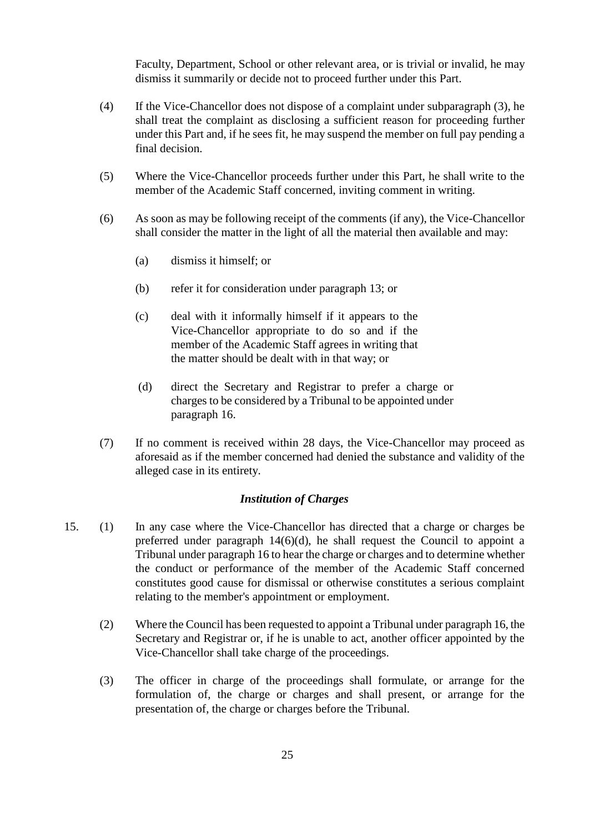Faculty, Department, School or other relevant area, or is trivial or invalid, he may dismiss it summarily or decide not to proceed further under this Part.

- (4) If the Vice-Chancellor does not dispose of a complaint under subparagraph (3), he shall treat the complaint as disclosing a sufficient reason for proceeding further under this Part and, if he sees fit, he may suspend the member on full pay pending a final decision.
- (5) Where the Vice-Chancellor proceeds further under this Part, he shall write to the member of the Academic Staff concerned, inviting comment in writing.
- (6) As soon as may be following receipt of the comments (if any), the Vice-Chancellor shall consider the matter in the light of all the material then available and may:
	- (a) dismiss it himself; or
	- (b) refer it for consideration under paragraph 13; or
	- (c) deal with it informally himself if it appears to the Vice-Chancellor appropriate to do so and if the member of the Academic Staff agrees in writing that the matter should be dealt with in that way; or
	- (d) direct the Secretary and Registrar to prefer a charge or charges to be considered by a Tribunal to be appointed under paragraph 16.
- (7) If no comment is received within 28 days, the Vice-Chancellor may proceed as aforesaid as if the member concerned had denied the substance and validity of the alleged case in its entirety.

#### *Institution of Charges*

- 15. (1) In any case where the Vice-Chancellor has directed that a charge or charges be preferred under paragraph 14(6)(d), he shall request the Council to appoint a Tribunal under paragraph 16 to hear the charge or charges and to determine whether the conduct or performance of the member of the Academic Staff concerned constitutes good cause for dismissal or otherwise constitutes a serious complaint relating to the member's appointment or employment.
	- (2) Where the Council has been requested to appoint a Tribunal under paragraph 16, the Secretary and Registrar or, if he is unable to act, another officer appointed by the Vice-Chancellor shall take charge of the proceedings.
	- (3) The officer in charge of the proceedings shall formulate, or arrange for the formulation of, the charge or charges and shall present, or arrange for the presentation of, the charge or charges before the Tribunal.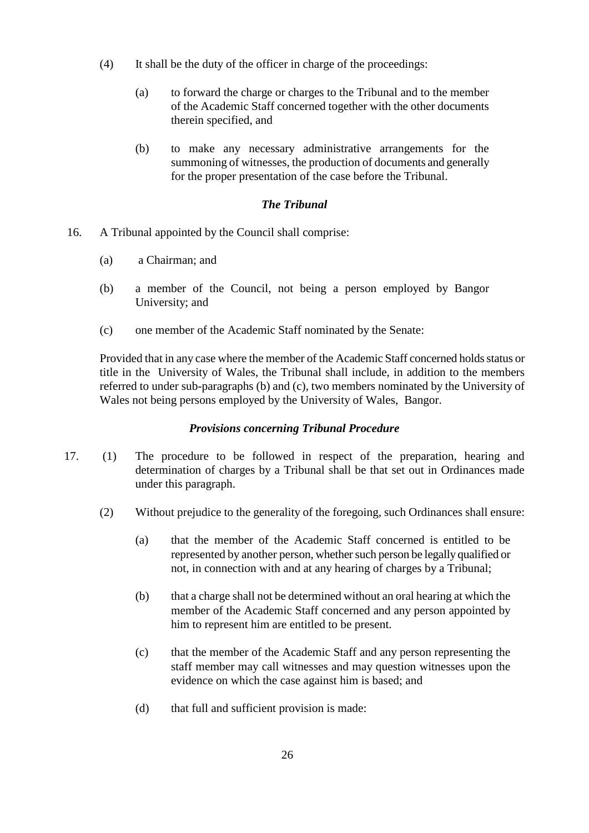- (4) It shall be the duty of the officer in charge of the proceedings:
	- (a) to forward the charge or charges to the Tribunal and to the member of the Academic Staff concerned together with the other documents therein specified, and
	- (b) to make any necessary administrative arrangements for the summoning of witnesses, the production of documents and generally for the proper presentation of the case before the Tribunal.

# *The Tribunal*

- 16. A Tribunal appointed by the Council shall comprise:
	- (a) a Chairman; and
	- (b) a member of the Council, not being a person employed by Bangor University; and
	- (c) one member of the Academic Staff nominated by the Senate:

Provided that in any case where the member of the Academic Staff concerned holds status or title in the University of Wales, the Tribunal shall include, in addition to the members referred to under sub-paragraphs (b) and (c), two members nominated by the University of Wales not being persons employed by the University of Wales, Bangor.

# *Provisions concerning Tribunal Procedure*

- 17. (1) The procedure to be followed in respect of the preparation, hearing and determination of charges by a Tribunal shall be that set out in Ordinances made under this paragraph.
	- (2) Without prejudice to the generality of the foregoing, such Ordinances shall ensure:
		- (a) that the member of the Academic Staff concerned is entitled to be represented by another person, whether such person be legally qualified or not, in connection with and at any hearing of charges by a Tribunal;
		- (b) that a charge shall not be determined without an oral hearing at which the member of the Academic Staff concerned and any person appointed by him to represent him are entitled to be present.
		- (c) that the member of the Academic Staff and any person representing the staff member may call witnesses and may question witnesses upon the evidence on which the case against him is based; and
		- (d) that full and sufficient provision is made: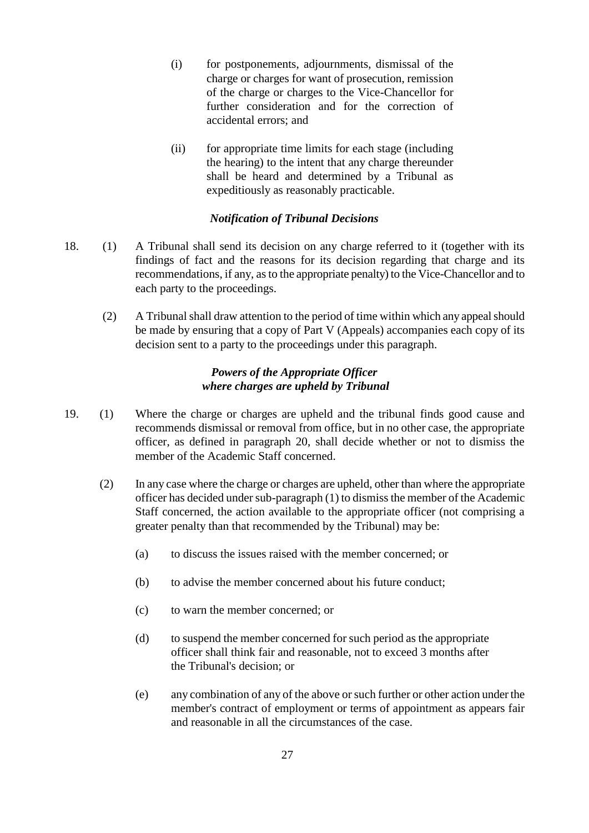- (i) for postponements, adjournments, dismissal of the charge or charges for want of prosecution, remission of the charge or charges to the Vice-Chancellor for further consideration and for the correction of accidental errors; and
- (ii) for appropriate time limits for each stage (including the hearing) to the intent that any charge thereunder shall be heard and determined by a Tribunal as expeditiously as reasonably practicable.

## *Notification of Tribunal Decisions*

- 18. (1) A Tribunal shall send its decision on any charge referred to it (together with its findings of fact and the reasons for its decision regarding that charge and its recommendations, if any, as to the appropriate penalty) to the Vice-Chancellor and to each party to the proceedings.
	- (2) A Tribunal shall draw attention to the period of time within which any appeal should be made by ensuring that a copy of Part V (Appeals) accompanies each copy of its decision sent to a party to the proceedings under this paragraph.

#### *Powers of the Appropriate Officer where charges are upheld by Tribunal*

- 19. (1) Where the charge or charges are upheld and the tribunal finds good cause and recommends dismissal or removal from office, but in no other case, the appropriate officer, as defined in paragraph 20, shall decide whether or not to dismiss the member of the Academic Staff concerned.
	- (2) In any case where the charge or charges are upheld, other than where the appropriate officer has decided under sub-paragraph (1) to dismiss the member of the Academic Staff concerned, the action available to the appropriate officer (not comprising a greater penalty than that recommended by the Tribunal) may be:
		- (a) to discuss the issues raised with the member concerned; or
		- (b) to advise the member concerned about his future conduct;
		- (c) to warn the member concerned; or
		- (d) to suspend the member concerned for such period as the appropriate officer shall think fair and reasonable, not to exceed 3 months after the Tribunal's decision; or
		- (e) any combination of any of the above or such further or other action under the member's contract of employment or terms of appointment as appears fair and reasonable in all the circumstances of the case.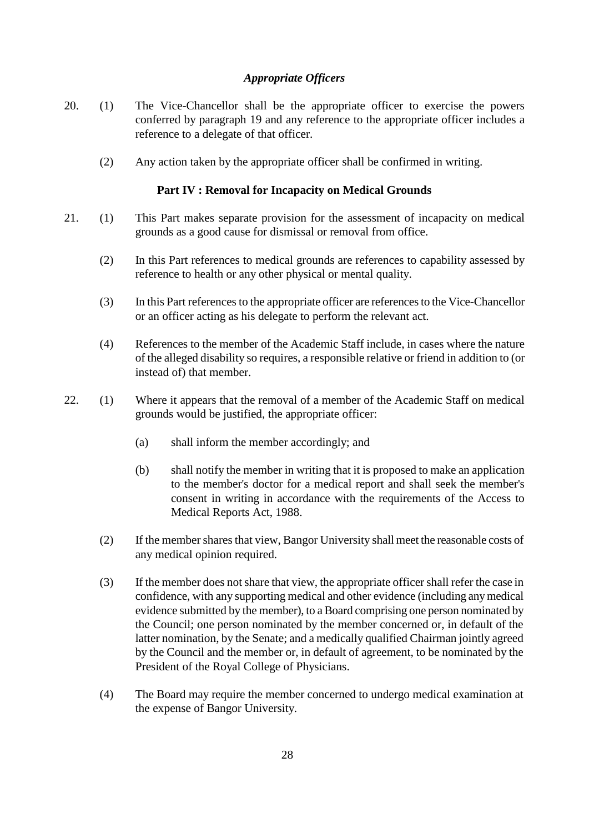# *Appropriate Officers*

- 20. (1) The Vice-Chancellor shall be the appropriate officer to exercise the powers conferred by paragraph 19 and any reference to the appropriate officer includes a reference to a delegate of that officer.
	- (2) Any action taken by the appropriate officer shall be confirmed in writing.

## **Part IV : Removal for Incapacity on Medical Grounds**

- 21. (1) This Part makes separate provision for the assessment of incapacity on medical grounds as a good cause for dismissal or removal from office.
	- (2) In this Part references to medical grounds are references to capability assessed by reference to health or any other physical or mental quality.
	- (3) In this Part references to the appropriate officer are references to the Vice-Chancellor or an officer acting as his delegate to perform the relevant act.
	- (4) References to the member of the Academic Staff include, in cases where the nature of the alleged disability so requires, a responsible relative or friend in addition to (or instead of) that member.
- 22. (1) Where it appears that the removal of a member of the Academic Staff on medical grounds would be justified, the appropriate officer:
	- (a) shall inform the member accordingly; and
	- (b) shall notify the member in writing that it is proposed to make an application to the member's doctor for a medical report and shall seek the member's consent in writing in accordance with the requirements of the Access to Medical Reports Act, 1988.
	- (2) If the member shares that view, Bangor University shall meet the reasonable costs of any medical opinion required.
	- (3) If the member does not share that view, the appropriate officer shall refer the case in confidence, with any supporting medical and other evidence (including any medical evidence submitted by the member), to a Board comprising one person nominated by the Council; one person nominated by the member concerned or, in default of the latter nomination, by the Senate; and a medically qualified Chairman jointly agreed by the Council and the member or, in default of agreement, to be nominated by the President of the Royal College of Physicians.
	- (4) The Board may require the member concerned to undergo medical examination at the expense of Bangor University.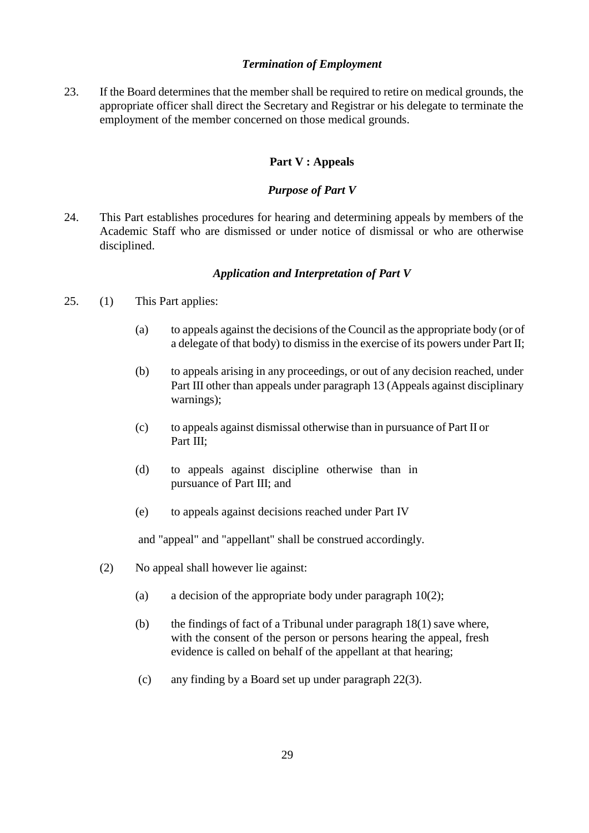# *Termination of Employment*

23. If the Board determines that the member shall be required to retire on medical grounds, the appropriate officer shall direct the Secretary and Registrar or his delegate to terminate the employment of the member concerned on those medical grounds.

# **Part V : Appeals**

# *Purpose of Part V*

24. This Part establishes procedures for hearing and determining appeals by members of the Academic Staff who are dismissed or under notice of dismissal or who are otherwise disciplined.

# *Application and Interpretation of Part V*

- 25. (1) This Part applies:
	- (a) to appeals against the decisions of the Council as the appropriate body (or of a delegate of that body) to dismiss in the exercise of its powers under Part II;
	- (b) to appeals arising in any proceedings, or out of any decision reached, under Part III other than appeals under paragraph 13 (Appeals against disciplinary warnings);
	- (c) to appeals against dismissal otherwise than in pursuance of Part II or Part III:
	- (d) to appeals against discipline otherwise than in pursuance of Part III; and
	- (e) to appeals against decisions reached under Part IV

and "appeal" and "appellant" shall be construed accordingly.

- (2) No appeal shall however lie against:
	- (a) a decision of the appropriate body under paragraph  $10(2)$ ;
	- (b) the findings of fact of a Tribunal under paragraph 18(1) save where, with the consent of the person or persons hearing the appeal, fresh evidence is called on behalf of the appellant at that hearing;
	- (c) any finding by a Board set up under paragraph 22(3).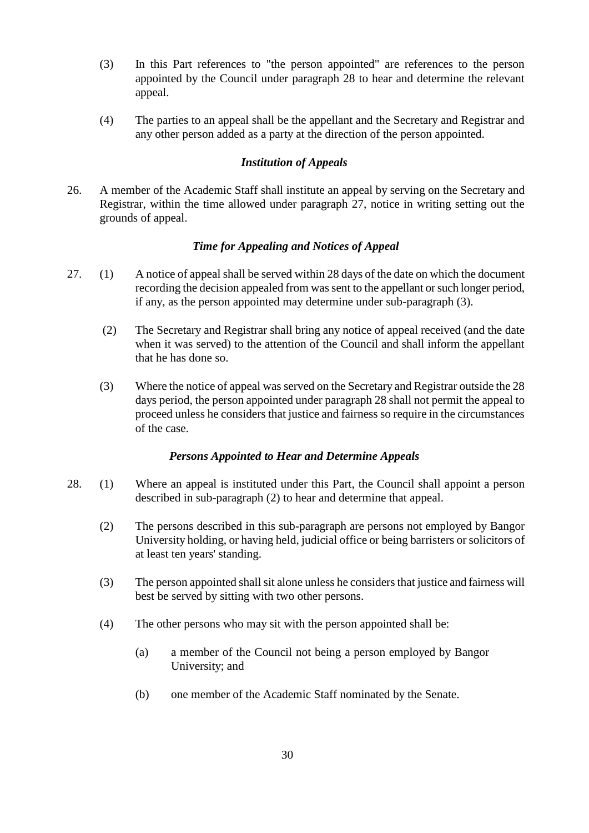- (3) In this Part references to "the person appointed" are references to the person appointed by the Council under paragraph 28 to hear and determine the relevant appeal.
- (4) The parties to an appeal shall be the appellant and the Secretary and Registrar and any other person added as a party at the direction of the person appointed.

# *Institution of Appeals*

26. A member of the Academic Staff shall institute an appeal by serving on the Secretary and Registrar, within the time allowed under paragraph 27, notice in writing setting out the grounds of appeal.

# *Time for Appealing and Notices of Appeal*

- 27. (1) A notice of appeal shall be served within 28 days of the date on which the document recording the decision appealed from was sent to the appellant or such longer period, if any, as the person appointed may determine under sub-paragraph (3).
	- (2) The Secretary and Registrar shall bring any notice of appeal received (and the date when it was served) to the attention of the Council and shall inform the appellant that he has done so.
	- (3) Where the notice of appeal was served on the Secretary and Registrar outside the 28 days period, the person appointed under paragraph 28 shall not permit the appeal to proceed unless he considers that justice and fairness so require in the circumstances of the case.

## *Persons Appointed to Hear and Determine Appeals*

- 28. (1) Where an appeal is instituted under this Part, the Council shall appoint a person described in sub-paragraph (2) to hear and determine that appeal.
	- (2) The persons described in this sub-paragraph are persons not employed by Bangor University holding, or having held, judicial office or being barristers or solicitors of at least ten years' standing.
	- (3) The person appointed shall sit alone unless he considers that justice and fairness will best be served by sitting with two other persons.
	- (4) The other persons who may sit with the person appointed shall be:
		- (a) a member of the Council not being a person employed by Bangor University; and
		- (b) one member of the Academic Staff nominated by the Senate.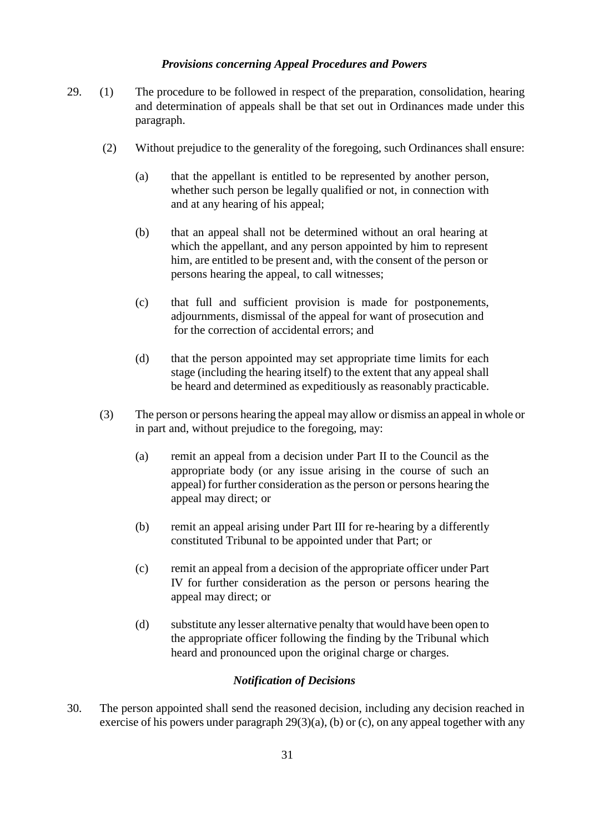#### *Provisions concerning Appeal Procedures and Powers*

- 29. (1) The procedure to be followed in respect of the preparation, consolidation, hearing and determination of appeals shall be that set out in Ordinances made under this paragraph.
	- (2) Without prejudice to the generality of the foregoing, such Ordinances shall ensure:
		- (a) that the appellant is entitled to be represented by another person, whether such person be legally qualified or not, in connection with and at any hearing of his appeal;
		- (b) that an appeal shall not be determined without an oral hearing at which the appellant, and any person appointed by him to represent him, are entitled to be present and, with the consent of the person or persons hearing the appeal, to call witnesses;
		- (c) that full and sufficient provision is made for postponements, adjournments, dismissal of the appeal for want of prosecution and for the correction of accidental errors; and
		- (d) that the person appointed may set appropriate time limits for each stage (including the hearing itself) to the extent that any appeal shall be heard and determined as expeditiously as reasonably practicable.
	- (3) The person or persons hearing the appeal may allow or dismiss an appeal in whole or in part and, without prejudice to the foregoing, may:
		- (a) remit an appeal from a decision under Part II to the Council as the appropriate body (or any issue arising in the course of such an appeal) for further consideration as the person or persons hearing the appeal may direct; or
		- (b) remit an appeal arising under Part III for re-hearing by a differently constituted Tribunal to be appointed under that Part; or
		- (c) remit an appeal from a decision of the appropriate officer under Part IV for further consideration as the person or persons hearing the appeal may direct; or
		- (d) substitute any lesser alternative penalty that would have been open to the appropriate officer following the finding by the Tribunal which heard and pronounced upon the original charge or charges.

#### *Notification of Decisions*

30. The person appointed shall send the reasoned decision, including any decision reached in exercise of his powers under paragraph  $29(3)(a)$ , (b) or (c), on any appeal together with any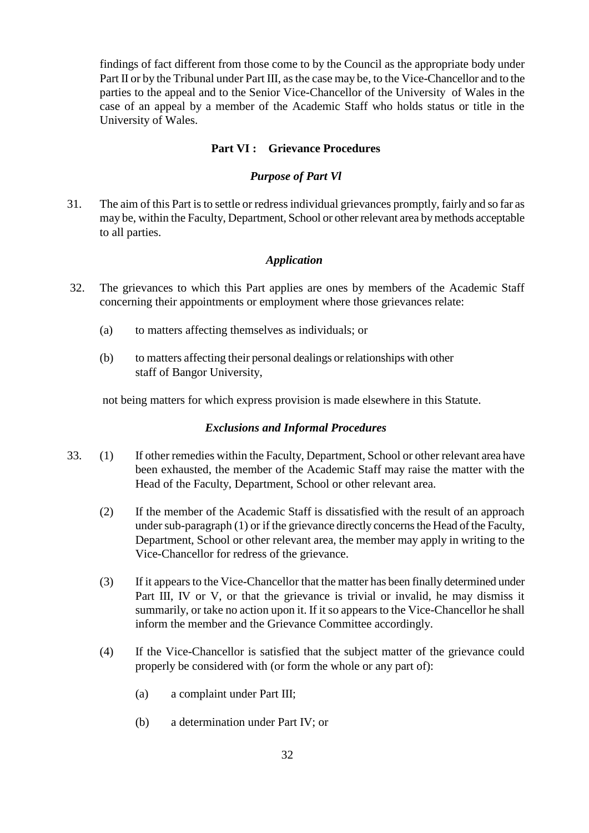findings of fact different from those come to by the Council as the appropriate body under Part II or by the Tribunal under Part III, as the case may be, to the Vice-Chancellor and to the parties to the appeal and to the Senior Vice-Chancellor of the University of Wales in the case of an appeal by a member of the Academic Staff who holds status or title in the University of Wales.

#### **Part VI : Grievance Procedures**

#### *Purpose of Part Vl*

31. The aim of this Part is to settle or redress individual grievances promptly, fairly and so far as may be, within the Faculty, Department, School or other relevant area by methods acceptable to all parties.

#### *Application*

- 32. The grievances to which this Part applies are ones by members of the Academic Staff concerning their appointments or employment where those grievances relate:
	- (a) to matters affecting themselves as individuals; or
	- (b) to matters affecting their personal dealings or relationships with other staff of Bangor University,

not being matters for which express provision is made elsewhere in this Statute.

#### *Exclusions and Informal Procedures*

- 33. (1) If other remedies within the Faculty, Department, School or other relevant area have been exhausted, the member of the Academic Staff may raise the matter with the Head of the Faculty, Department, School or other relevant area.
	- (2) If the member of the Academic Staff is dissatisfied with the result of an approach under sub-paragraph (1) or if the grievance directly concerns the Head of the Faculty, Department, School or other relevant area, the member may apply in writing to the Vice-Chancellor for redress of the grievance.
	- (3) If it appears to the Vice-Chancellor that the matter has been finally determined under Part III, IV or V, or that the grievance is trivial or invalid, he may dismiss it summarily, or take no action upon it. If it so appears to the Vice-Chancellor he shall inform the member and the Grievance Committee accordingly.
	- (4) If the Vice-Chancellor is satisfied that the subject matter of the grievance could properly be considered with (or form the whole or any part of):
		- (a) a complaint under Part III;
		- (b) a determination under Part IV; or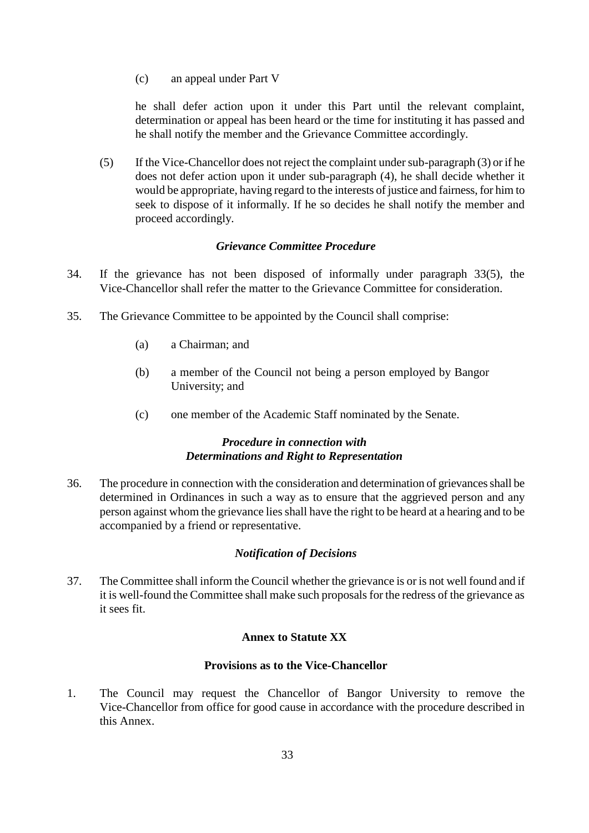(c) an appeal under Part V

he shall defer action upon it under this Part until the relevant complaint, determination or appeal has been heard or the time for instituting it has passed and he shall notify the member and the Grievance Committee accordingly.

(5) If the Vice-Chancellor does not reject the complaint under sub-paragraph (3) or if he does not defer action upon it under sub-paragraph (4), he shall decide whether it would be appropriate, having regard to the interests of justice and fairness, for him to seek to dispose of it informally. If he so decides he shall notify the member and proceed accordingly.

#### *Grievance Committee Procedure*

- 34. If the grievance has not been disposed of informally under paragraph 33(5), the Vice-Chancellor shall refer the matter to the Grievance Committee for consideration.
- 35. The Grievance Committee to be appointed by the Council shall comprise:
	- (a) a Chairman; and
	- (b) a member of the Council not being a person employed by Bangor University; and
	- (c) one member of the Academic Staff nominated by the Senate.

## *Procedure in connection with Determinations and Right to Representation*

36. The procedure in connection with the consideration and determination of grievances shall be determined in Ordinances in such a way as to ensure that the aggrieved person and any person against whom the grievance lies shall have the right to be heard at a hearing and to be accompanied by a friend or representative.

## *Notification of Decisions*

37. The Committee shall inform the Council whether the grievance is or is not well found and if it is well-found the Committee shall make such proposals for the redress of the grievance as it sees fit.

## **Annex to Statute XX**

# **Provisions as to the Vice-Chancellor**

1. The Council may request the Chancellor of Bangor University to remove the Vice-Chancellor from office for good cause in accordance with the procedure described in this Annex.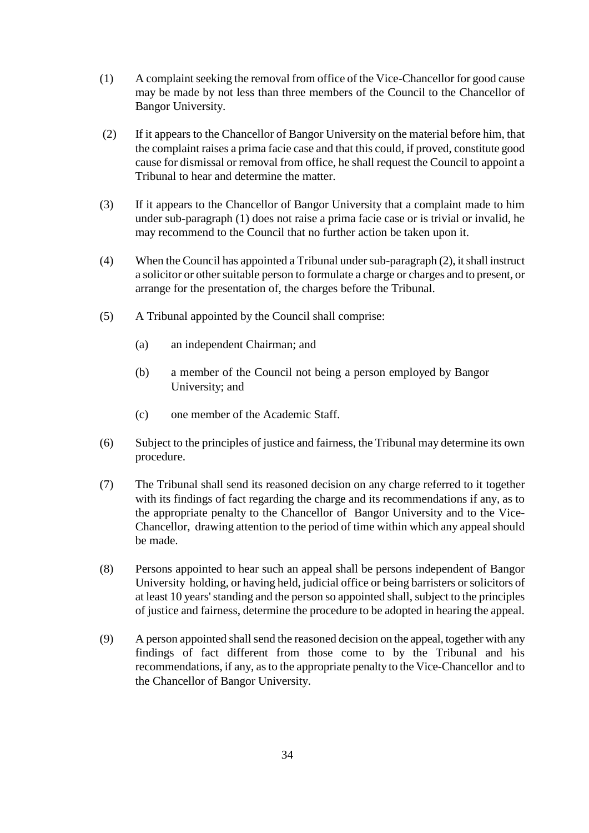- (1) A complaint seeking the removal from office of the Vice-Chancellor for good cause may be made by not less than three members of the Council to the Chancellor of Bangor University.
- (2) If it appears to the Chancellor of Bangor University on the material before him, that the complaint raises a prima facie case and that this could, if proved, constitute good cause for dismissal or removal from office, he shall request the Council to appoint a Tribunal to hear and determine the matter.
- (3) If it appears to the Chancellor of Bangor University that a complaint made to him under sub-paragraph (1) does not raise a prima facie case or is trivial or invalid, he may recommend to the Council that no further action be taken upon it.
- (4) When the Council has appointed a Tribunal under sub-paragraph (2), it shall instruct a solicitor or other suitable person to formulate a charge or charges and to present, or arrange for the presentation of, the charges before the Tribunal.
- (5) A Tribunal appointed by the Council shall comprise:
	- (a) an independent Chairman; and
	- (b) a member of the Council not being a person employed by Bangor University; and
	- (c) one member of the Academic Staff.
- (6) Subject to the principles of justice and fairness, the Tribunal may determine its own procedure.
- (7) The Tribunal shall send its reasoned decision on any charge referred to it together with its findings of fact regarding the charge and its recommendations if any, as to the appropriate penalty to the Chancellor of Bangor University and to the Vice-Chancellor, drawing attention to the period of time within which any appeal should be made.
- (8) Persons appointed to hear such an appeal shall be persons independent of Bangor University holding, or having held, judicial office or being barristers or solicitors of at least 10 years' standing and the person so appointed shall, subject to the principles of justice and fairness, determine the procedure to be adopted in hearing the appeal.
- (9) A person appointed shall send the reasoned decision on the appeal, together with any findings of fact different from those come to by the Tribunal and his recommendations, if any, as to the appropriate penalty to the Vice-Chancellor and to the Chancellor of Bangor University.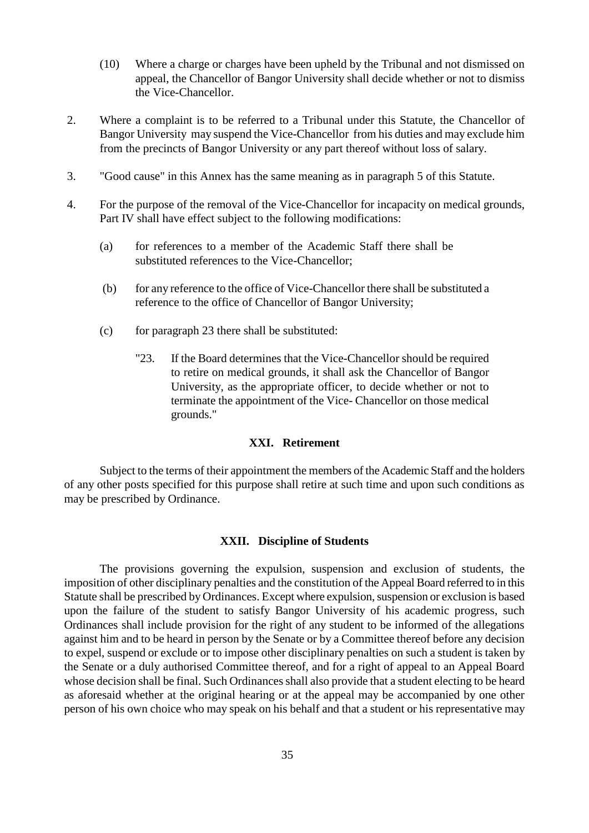- (10) Where a charge or charges have been upheld by the Tribunal and not dismissed on appeal, the Chancellor of Bangor University shall decide whether or not to dismiss the Vice-Chancellor.
- 2. Where a complaint is to be referred to a Tribunal under this Statute, the Chancellor of Bangor University may suspend the Vice-Chancellor from his duties and may exclude him from the precincts of Bangor University or any part thereof without loss of salary.
- 3. "Good cause" in this Annex has the same meaning as in paragraph 5 of this Statute.
- 4. For the purpose of the removal of the Vice-Chancellor for incapacity on medical grounds, Part IV shall have effect subject to the following modifications:
	- (a) for references to a member of the Academic Staff there shall be substituted references to the Vice-Chancellor;
	- (b) for any reference to the office of Vice-Chancellor there shall be substituted a reference to the office of Chancellor of Bangor University;
	- (c) for paragraph 23 there shall be substituted:
		- "23. If the Board determines that the Vice-Chancellor should be required to retire on medical grounds, it shall ask the Chancellor of Bangor University, as the appropriate officer, to decide whether or not to terminate the appointment of the Vice- Chancellor on those medical grounds."

### **XXI. Retirement**

Subject to the terms of their appointment the members of the Academic Staff and the holders of any other posts specified for this purpose shall retire at such time and upon such conditions as may be prescribed by Ordinance.

#### **XXII. Discipline of Students**

The provisions governing the expulsion, suspension and exclusion of students, the imposition of other disciplinary penalties and the constitution of the Appeal Board referred to in this Statute shall be prescribed by Ordinances. Except where expulsion, suspension or exclusion is based upon the failure of the student to satisfy Bangor University of his academic progress, such Ordinances shall include provision for the right of any student to be informed of the allegations against him and to be heard in person by the Senate or by a Committee thereof before any decision to expel, suspend or exclude or to impose other disciplinary penalties on such a student is taken by the Senate or a duly authorised Committee thereof, and for a right of appeal to an Appeal Board whose decision shall be final. Such Ordinances shall also provide that a student electing to be heard as aforesaid whether at the original hearing or at the appeal may be accompanied by one other person of his own choice who may speak on his behalf and that a student or his representative may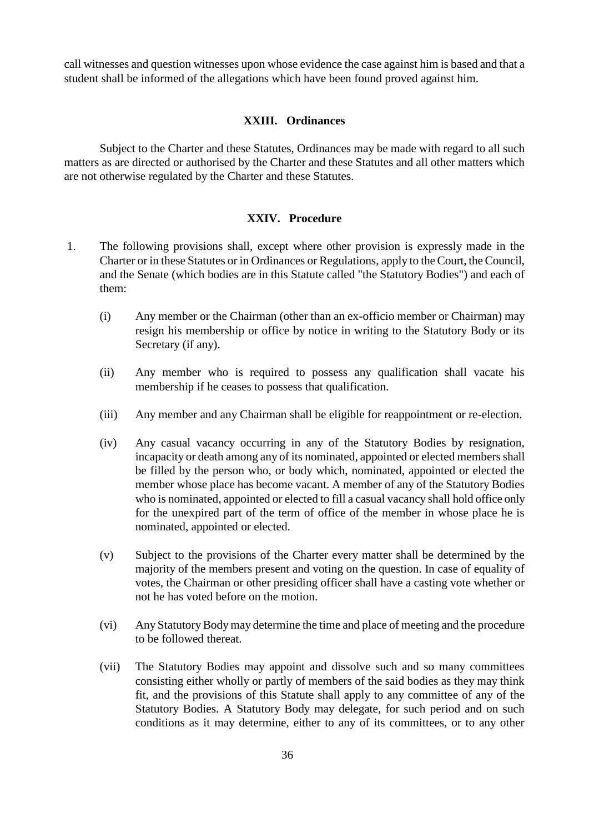call witnesses and question witnesses upon whose evidence the case against him is based and that a student shall be informed of the allegations which have been found proved against him.

#### **XXIII. Ordinances**

Subject to the Charter and these Statutes, Ordinances may be made with regard to all such matters as are directed or authorised by the Charter and these Statutes and all other matters which are not otherwise regulated by the Charter and these Statutes.

#### **XXIV. Procedure**

- 1. The following provisions shall, except where other provision is expressly made in the Charter or in these Statutes or in Ordinances or Regulations, apply to the Court, the Council, and the Senate (which bodies are in this Statute called "the Statutory Bodies") and each of them:
	- (i) Any member or the Chairman (other than an ex-officio member or Chairman) may resign his membership or office by notice in writing to the Statutory Body or its Secretary (if any).
	- (ii) Any member who is required to possess any qualification shall vacate his membership if he ceases to possess that qualification.
	- (iii) Any member and any Chairman shall be eligible for reappointment or re-election.
	- (iv) Any casual vacancy occurring in any of the Statutory Bodies by resignation, incapacity or death among any of its nominated, appointed or elected members shall be filled by the person who, or body which, nominated, appointed or elected the member whose place has become vacant. A member of any of the Statutory Bodies who is nominated, appointed or elected to fill a casual vacancy shall hold office only for the unexpired part of the term of office of the member in whose place he is nominated, appointed or elected.
	- (v) Subject to the provisions of the Charter every matter shall be determined by the majority of the members present and voting on the question. In case of equality of votes, the Chairman or other presiding officer shall have a casting vote whether or not he has voted before on the motion.
	- (vi) Any Statutory Body may determine the time and place of meeting and the procedure to be followed thereat.
	- (vii) The Statutory Bodies may appoint and dissolve such and so many committees consisting either wholly or partly of members of the said bodies as they may think fit, and the provisions of this Statute shall apply to any committee of any of the Statutory Bodies. A Statutory Body may delegate, for such period and on such conditions as it may determine, either to any of its committees, or to any other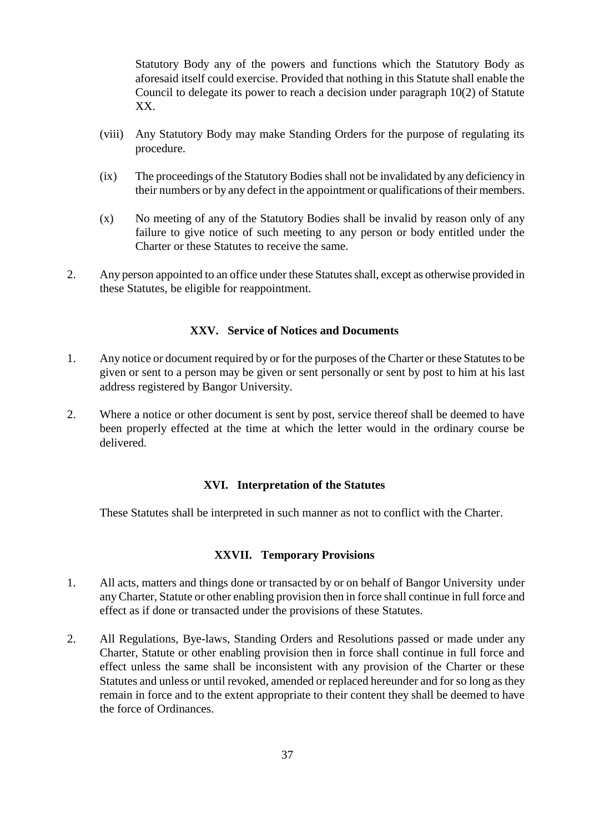Statutory Body any of the powers and functions which the Statutory Body as aforesaid itself could exercise. Provided that nothing in this Statute shall enable the Council to delegate its power to reach a decision under paragraph 10(2) of Statute XX.

- (viii) Any Statutory Body may make Standing Orders for the purpose of regulating its procedure.
- (ix) The proceedings of the Statutory Bodies shall not be invalidated by any deficiency in their numbers or by any defect in the appointment or qualifications of their members.
- (x) No meeting of any of the Statutory Bodies shall be invalid by reason only of any failure to give notice of such meeting to any person or body entitled under the Charter or these Statutes to receive the same.
- 2. Any person appointed to an office under these Statutes shall, except as otherwise provided in these Statutes, be eligible for reappointment.

#### **XXV. Service of Notices and Documents**

- 1. Any notice or document required by or for the purposes of the Charter or these Statutes to be given or sent to a person may be given or sent personally or sent by post to him at his last address registered by Bangor University.
- 2. Where a notice or other document is sent by post, service thereof shall be deemed to have been properly effected at the time at which the letter would in the ordinary course be delivered.

#### **XVI. Interpretation of the Statutes**

These Statutes shall be interpreted in such manner as not to conflict with the Charter.

#### **XXVII. Temporary Provisions**

- 1. All acts, matters and things done or transacted by or on behalf of Bangor University under any Charter, Statute or other enabling provision then in force shall continue in full force and effect as if done or transacted under the provisions of these Statutes.
- 2. All Regulations, Bye-laws, Standing Orders and Resolutions passed or made under any Charter, Statute or other enabling provision then in force shall continue in full force and effect unless the same shall be inconsistent with any provision of the Charter or these Statutes and unless or until revoked, amended or replaced hereunder and for so long as they remain in force and to the extent appropriate to their content they shall be deemed to have the force of Ordinances.